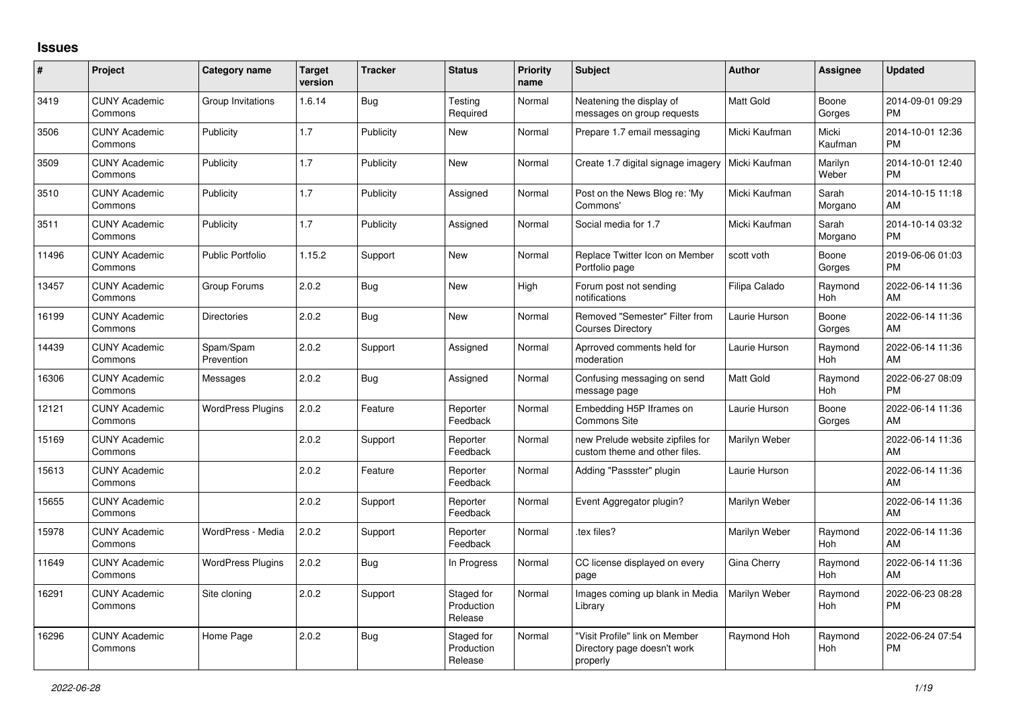## **Issues**

| $\pmb{\sharp}$ | Project                         | <b>Category name</b>     | <b>Target</b><br>version | <b>Tracker</b> | <b>Status</b>                       | <b>Priority</b><br>name | <b>Subject</b>                                                            | <b>Author</b>    | <b>Assignee</b>       | <b>Updated</b>                |
|----------------|---------------------------------|--------------------------|--------------------------|----------------|-------------------------------------|-------------------------|---------------------------------------------------------------------------|------------------|-----------------------|-------------------------------|
| 3419           | <b>CUNY Academic</b><br>Commons | Group Invitations        | 1.6.14                   | Bug            | Testing<br>Required                 | Normal                  | Neatening the display of<br>messages on group requests                    | <b>Matt Gold</b> | Boone<br>Gorges       | 2014-09-01 09:29<br><b>PM</b> |
| 3506           | <b>CUNY Academic</b><br>Commons | Publicity                | 1.7                      | Publicity      | New                                 | Normal                  | Prepare 1.7 email messaging                                               | Micki Kaufman    | Micki<br>Kaufman      | 2014-10-01 12:36<br><b>PM</b> |
| 3509           | <b>CUNY Academic</b><br>Commons | Publicity                | 1.7                      | Publicity      | <b>New</b>                          | Normal                  | Create 1.7 digital signage imagery                                        | Micki Kaufman    | Marilyn<br>Weber      | 2014-10-01 12:40<br><b>PM</b> |
| 3510           | <b>CUNY Academic</b><br>Commons | Publicity                | 1.7                      | Publicity      | Assigned                            | Normal                  | Post on the News Blog re: 'My<br>Commons'                                 | Micki Kaufman    | Sarah<br>Morgano      | 2014-10-15 11:18<br>AM        |
| 3511           | <b>CUNY Academic</b><br>Commons | Publicity                | 1.7                      | Publicity      | Assigned                            | Normal                  | Social media for 1.7                                                      | Micki Kaufman    | Sarah<br>Morgano      | 2014-10-14 03:32<br><b>PM</b> |
| 11496          | <b>CUNY Academic</b><br>Commons | <b>Public Portfolio</b>  | 1.15.2                   | Support        | New                                 | Normal                  | Replace Twitter Icon on Member<br>Portfolio page                          | scott voth       | Boone<br>Gorges       | 2019-06-06 01:03<br><b>PM</b> |
| 13457          | <b>CUNY Academic</b><br>Commons | Group Forums             | 2.0.2                    | Bug            | <b>New</b>                          | High                    | Forum post not sending<br>notifications                                   | Filipa Calado    | Raymond<br><b>Hoh</b> | 2022-06-14 11:36<br>AM        |
| 16199          | <b>CUNY Academic</b><br>Commons | <b>Directories</b>       | 2.0.2                    | <b>Bug</b>     | <b>New</b>                          | Normal                  | Removed "Semester" Filter from<br><b>Courses Directory</b>                | Laurie Hurson    | Boone<br>Gorges       | 2022-06-14 11:36<br>AM        |
| 14439          | <b>CUNY Academic</b><br>Commons | Spam/Spam<br>Prevention  | 2.0.2                    | Support        | Assigned                            | Normal                  | Aprroved comments held for<br>moderation                                  | Laurie Hurson    | Raymond<br>Hoh        | 2022-06-14 11:36<br>AM        |
| 16306          | <b>CUNY Academic</b><br>Commons | Messages                 | 2.0.2                    | Bug            | Assigned                            | Normal                  | Confusing messaging on send<br>message page                               | <b>Matt Gold</b> | Raymond<br>Hoh        | 2022-06-27 08:09<br><b>PM</b> |
| 12121          | <b>CUNY Academic</b><br>Commons | <b>WordPress Plugins</b> | 2.0.2                    | Feature        | Reporter<br>Feedback                | Normal                  | Embedding H5P Iframes on<br><b>Commons Site</b>                           | Laurie Hurson    | Boone<br>Gorges       | 2022-06-14 11:36<br>AM        |
| 15169          | <b>CUNY Academic</b><br>Commons |                          | 2.0.2                    | Support        | Reporter<br>Feedback                | Normal                  | new Prelude website zipfiles for<br>custom theme and other files.         | Marilyn Weber    |                       | 2022-06-14 11:36<br>AM        |
| 15613          | <b>CUNY Academic</b><br>Commons |                          | 2.0.2                    | Feature        | Reporter<br>Feedback                | Normal                  | Adding "Passster" plugin                                                  | Laurie Hurson    |                       | 2022-06-14 11:36<br>AM        |
| 15655          | <b>CUNY Academic</b><br>Commons |                          | 2.0.2                    | Support        | Reporter<br>Feedback                | Normal                  | Event Aggregator plugin?                                                  | Marilyn Weber    |                       | 2022-06-14 11:36<br>AM        |
| 15978          | <b>CUNY Academic</b><br>Commons | WordPress - Media        | 2.0.2                    | Support        | Reporter<br>Feedback                | Normal                  | .tex files?                                                               | Marilyn Weber    | Raymond<br>Hoh        | 2022-06-14 11:36<br>AM        |
| 11649          | <b>CUNY Academic</b><br>Commons | <b>WordPress Plugins</b> | 2.0.2                    | Bug            | In Progress                         | Normal                  | CC license displayed on every<br>page                                     | Gina Cherry      | Raymond<br><b>Hoh</b> | 2022-06-14 11:36<br>AM        |
| 16291          | <b>CUNY Academic</b><br>Commons | Site cloning             | 2.0.2                    | Support        | Staged for<br>Production<br>Release | Normal                  | Images coming up blank in Media<br>Library                                | Marilyn Weber    | Raymond<br><b>Hoh</b> | 2022-06-23 08:28<br><b>PM</b> |
| 16296          | <b>CUNY Academic</b><br>Commons | Home Page                | 2.0.2                    | Bug            | Staged for<br>Production<br>Release | Normal                  | "Visit Profile" link on Member<br>Directory page doesn't work<br>properly | Raymond Hoh      | Raymond<br>Hoh        | 2022-06-24 07:54<br><b>PM</b> |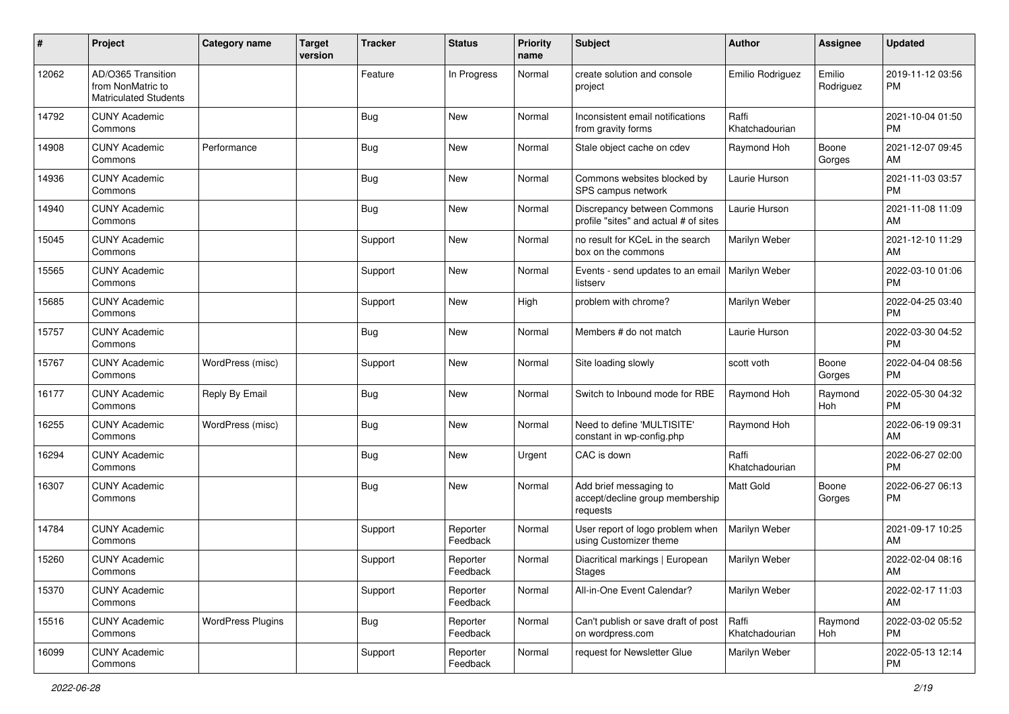| $\#$  | Project                                                                 | <b>Category name</b>     | <b>Target</b><br>version | <b>Tracker</b> | <b>Status</b>        | <b>Priority</b><br>name | <b>Subject</b>                                                        | <b>Author</b>           | <b>Assignee</b>     | <b>Updated</b>                |
|-------|-------------------------------------------------------------------------|--------------------------|--------------------------|----------------|----------------------|-------------------------|-----------------------------------------------------------------------|-------------------------|---------------------|-------------------------------|
| 12062 | AD/O365 Transition<br>from NonMatric to<br><b>Matriculated Students</b> |                          |                          | Feature        | In Progress          | Normal                  | create solution and console<br>project                                | Emilio Rodriguez        | Emilio<br>Rodriguez | 2019-11-12 03:56<br>PM        |
| 14792 | <b>CUNY Academic</b><br>Commons                                         |                          |                          | <b>Bug</b>     | New                  | Normal                  | Inconsistent email notifications<br>from gravity forms                | Raffi<br>Khatchadourian |                     | 2021-10-04 01:50<br><b>PM</b> |
| 14908 | <b>CUNY Academic</b><br>Commons                                         | Performance              |                          | <b>Bug</b>     | New                  | Normal                  | Stale object cache on cdev                                            | Raymond Hoh             | Boone<br>Gorges     | 2021-12-07 09:45<br>AM        |
| 14936 | <b>CUNY Academic</b><br>Commons                                         |                          |                          | <b>Bug</b>     | New                  | Normal                  | Commons websites blocked by<br>SPS campus network                     | Laurie Hurson           |                     | 2021-11-03 03:57<br><b>PM</b> |
| 14940 | <b>CUNY Academic</b><br>Commons                                         |                          |                          | Bug            | New                  | Normal                  | Discrepancy between Commons<br>profile "sites" and actual # of sites  | Laurie Hurson           |                     | 2021-11-08 11:09<br>AM        |
| 15045 | <b>CUNY Academic</b><br>Commons                                         |                          |                          | Support        | New                  | Normal                  | no result for KCeL in the search<br>box on the commons                | Marilyn Weber           |                     | 2021-12-10 11:29<br>AM        |
| 15565 | <b>CUNY Academic</b><br>Commons                                         |                          |                          | Support        | New                  | Normal                  | Events - send updates to an email   Marilyn Weber<br>listserv         |                         |                     | 2022-03-10 01:06<br><b>PM</b> |
| 15685 | <b>CUNY Academic</b><br>Commons                                         |                          |                          | Support        | New                  | High                    | problem with chrome?                                                  | Marilyn Weber           |                     | 2022-04-25 03:40<br><b>PM</b> |
| 15757 | <b>CUNY Academic</b><br>Commons                                         |                          |                          | <b>Bug</b>     | <b>New</b>           | Normal                  | Members # do not match                                                | Laurie Hurson           |                     | 2022-03-30 04:52<br><b>PM</b> |
| 15767 | <b>CUNY Academic</b><br>Commons                                         | WordPress (misc)         |                          | Support        | New                  | Normal                  | Site loading slowly                                                   | scott voth              | Boone<br>Gorges     | 2022-04-04 08:56<br><b>PM</b> |
| 16177 | <b>CUNY Academic</b><br>Commons                                         | Reply By Email           |                          | <b>Bug</b>     | New                  | Normal                  | Switch to Inbound mode for RBE                                        | Raymond Hoh             | Raymond<br>Hoh      | 2022-05-30 04:32<br><b>PM</b> |
| 16255 | <b>CUNY Academic</b><br>Commons                                         | WordPress (misc)         |                          | <b>Bug</b>     | New                  | Normal                  | Need to define 'MULTISITE'<br>constant in wp-config.php               | Raymond Hoh             |                     | 2022-06-19 09:31<br>AM        |
| 16294 | <b>CUNY Academic</b><br>Commons                                         |                          |                          | Bug            | <b>New</b>           | Urgent                  | CAC is down                                                           | Raffi<br>Khatchadourian |                     | 2022-06-27 02:00<br><b>PM</b> |
| 16307 | <b>CUNY Academic</b><br>Commons                                         |                          |                          | <b>Bug</b>     | New                  | Normal                  | Add brief messaging to<br>accept/decline group membership<br>requests | <b>Matt Gold</b>        | Boone<br>Gorges     | 2022-06-27 06:13<br><b>PM</b> |
| 14784 | <b>CUNY Academic</b><br>Commons                                         |                          |                          | Support        | Reporter<br>Feedback | Normal                  | User report of logo problem when<br>using Customizer theme            | Marilyn Weber           |                     | 2021-09-17 10:25<br>AM        |
| 15260 | <b>CUNY Academic</b><br>Commons                                         |                          |                          | Support        | Reporter<br>Feedback | Normal                  | Diacritical markings   European<br>Stages                             | Marilyn Weber           |                     | 2022-02-04 08:16<br>AM        |
| 15370 | <b>CUNY Academic</b><br>Commons                                         |                          |                          | Support        | Reporter<br>Feedback | Normal                  | All-in-One Event Calendar?                                            | Marilyn Weber           |                     | 2022-02-17 11:03<br>AM        |
| 15516 | <b>CUNY Academic</b><br>Commons                                         | <b>WordPress Plugins</b> |                          | <b>Bug</b>     | Reporter<br>Feedback | Normal                  | Can't publish or save draft of post<br>on wordpress.com               | Raffi<br>Khatchadourian | Raymond<br>Hoh      | 2022-03-02 05:52<br><b>PM</b> |
| 16099 | <b>CUNY Academic</b><br>Commons                                         |                          |                          | Support        | Reporter<br>Feedback | Normal                  | request for Newsletter Glue                                           | Marilyn Weber           |                     | 2022-05-13 12:14<br><b>PM</b> |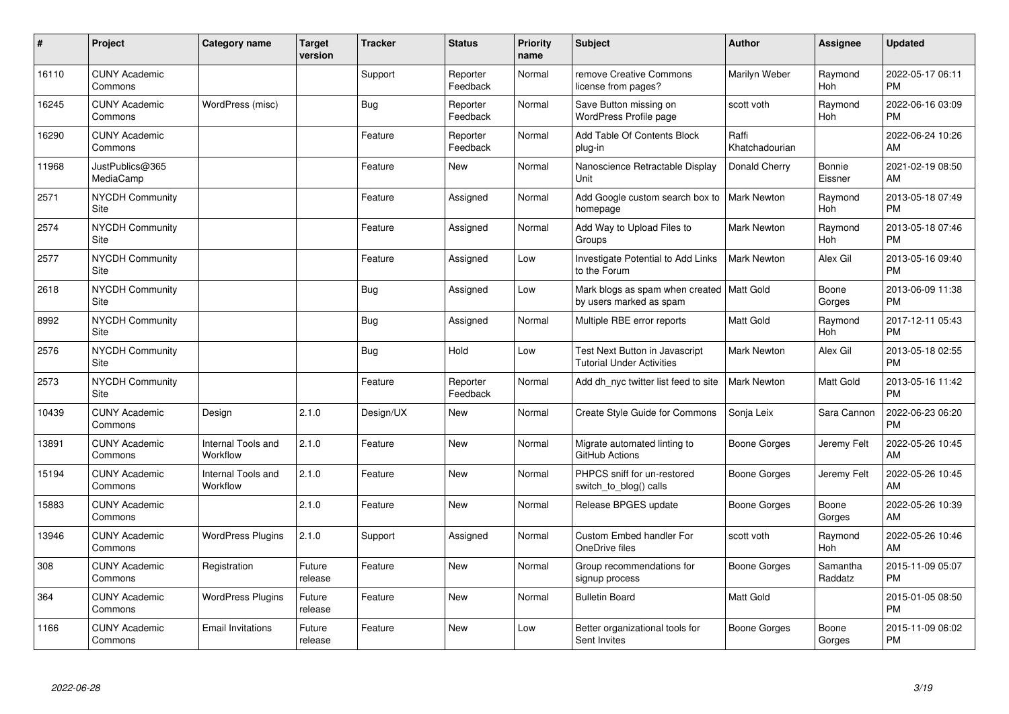| $\vert$ # | Project                         | <b>Category name</b>           | <b>Target</b><br>version | <b>Tracker</b> | <b>Status</b>        | <b>Priority</b><br>name | <b>Subject</b>                                                         | Author                  | Assignee              | <b>Updated</b>                |
|-----------|---------------------------------|--------------------------------|--------------------------|----------------|----------------------|-------------------------|------------------------------------------------------------------------|-------------------------|-----------------------|-------------------------------|
| 16110     | <b>CUNY Academic</b><br>Commons |                                |                          | Support        | Reporter<br>Feedback | Normal                  | remove Creative Commons<br>license from pages?                         | Marilyn Weber           | Raymond<br><b>Hoh</b> | 2022-05-17 06:11<br><b>PM</b> |
| 16245     | <b>CUNY Academic</b><br>Commons | WordPress (misc)               |                          | <b>Bug</b>     | Reporter<br>Feedback | Normal                  | Save Button missing on<br>WordPress Profile page                       | scott voth              | Raymond<br>Hoh        | 2022-06-16 03:09<br><b>PM</b> |
| 16290     | <b>CUNY Academic</b><br>Commons |                                |                          | Feature        | Reporter<br>Feedback | Normal                  | Add Table Of Contents Block<br>plug-in                                 | Raffi<br>Khatchadourian |                       | 2022-06-24 10:26<br>AM        |
| 11968     | JustPublics@365<br>MediaCamp    |                                |                          | Feature        | New                  | Normal                  | Nanoscience Retractable Display<br>Unit                                | Donald Cherry           | Bonnie<br>Eissner     | 2021-02-19 08:50<br>AM        |
| 2571      | <b>NYCDH Community</b><br>Site  |                                |                          | Feature        | Assigned             | Normal                  | Add Google custom search box to<br>homepage                            | <b>Mark Newton</b>      | Raymond<br><b>Hoh</b> | 2013-05-18 07:49<br><b>PM</b> |
| 2574      | NYCDH Community<br>Site         |                                |                          | Feature        | Assigned             | Normal                  | Add Way to Upload Files to<br>Groups                                   | <b>Mark Newton</b>      | Raymond<br>Hoh        | 2013-05-18 07:46<br><b>PM</b> |
| 2577      | <b>NYCDH Community</b><br>Site  |                                |                          | Feature        | Assigned             | Low                     | Investigate Potential to Add Links<br>to the Forum                     | <b>Mark Newton</b>      | Alex Gil              | 2013-05-16 09:40<br><b>PM</b> |
| 2618      | <b>NYCDH Community</b><br>Site  |                                |                          | <b>Bug</b>     | Assigned             | Low                     | Mark blogs as spam when created   Matt Gold<br>by users marked as spam |                         | Boone<br>Gorges       | 2013-06-09 11:38<br><b>PM</b> |
| 8992      | <b>NYCDH Community</b><br>Site  |                                |                          | <b>Bug</b>     | Assigned             | Normal                  | Multiple RBE error reports                                             | Matt Gold               | Raymond<br>Hoh        | 2017-12-11 05:43<br><b>PM</b> |
| 2576      | <b>NYCDH Community</b><br>Site  |                                |                          | <b>Bug</b>     | Hold                 | Low                     | Test Next Button in Javascript<br><b>Tutorial Under Activities</b>     | <b>Mark Newton</b>      | Alex Gil              | 2013-05-18 02:55<br><b>PM</b> |
| 2573      | <b>NYCDH Community</b><br>Site  |                                |                          | Feature        | Reporter<br>Feedback | Normal                  | Add dh nyc twitter list feed to site                                   | Mark Newton             | Matt Gold             | 2013-05-16 11:42<br><b>PM</b> |
| 10439     | <b>CUNY Academic</b><br>Commons | Design                         | 2.1.0                    | Design/UX      | <b>New</b>           | Normal                  | Create Style Guide for Commons                                         | Sonja Leix              | Sara Cannon           | 2022-06-23 06:20<br><b>PM</b> |
| 13891     | <b>CUNY Academic</b><br>Commons | Internal Tools and<br>Workflow | 2.1.0                    | Feature        | <b>New</b>           | Normal                  | Migrate automated linting to<br>GitHub Actions                         | Boone Gorges            | Jeremy Felt           | 2022-05-26 10:45<br>AM        |
| 15194     | <b>CUNY Academic</b><br>Commons | Internal Tools and<br>Workflow | 2.1.0                    | Feature        | New                  | Normal                  | PHPCS sniff for un-restored<br>switch_to_blog() calls                  | Boone Gorges            | Jeremy Felt           | 2022-05-26 10:45<br>AM        |
| 15883     | <b>CUNY Academic</b><br>Commons |                                | 2.1.0                    | Feature        | <b>New</b>           | Normal                  | Release BPGES update                                                   | Boone Gorges            | Boone<br>Gorges       | 2022-05-26 10:39<br>AM        |
| 13946     | <b>CUNY Academic</b><br>Commons | <b>WordPress Plugins</b>       | 2.1.0                    | Support        | Assigned             | Normal                  | <b>Custom Embed handler For</b><br>OneDrive files                      | scott voth              | Raymond<br>Hoh        | 2022-05-26 10:46<br>AM        |
| 308       | <b>CUNY Academic</b><br>Commons | Registration                   | Future<br>release        | Feature        | <b>New</b>           | Normal                  | Group recommendations for<br>signup process                            | Boone Gorges            | Samantha<br>Raddatz   | 2015-11-09 05:07<br><b>PM</b> |
| 364       | <b>CUNY Academic</b><br>Commons | <b>WordPress Plugins</b>       | Future<br>release        | Feature        | New                  | Normal                  | <b>Bulletin Board</b>                                                  | Matt Gold               |                       | 2015-01-05 08:50<br><b>PM</b> |
| 1166      | <b>CUNY Academic</b><br>Commons | <b>Email Invitations</b>       | Future<br>release        | Feature        | New                  | Low                     | Better organizational tools for<br>Sent Invites                        | Boone Gorges            | Boone<br>Gorges       | 2015-11-09 06:02<br><b>PM</b> |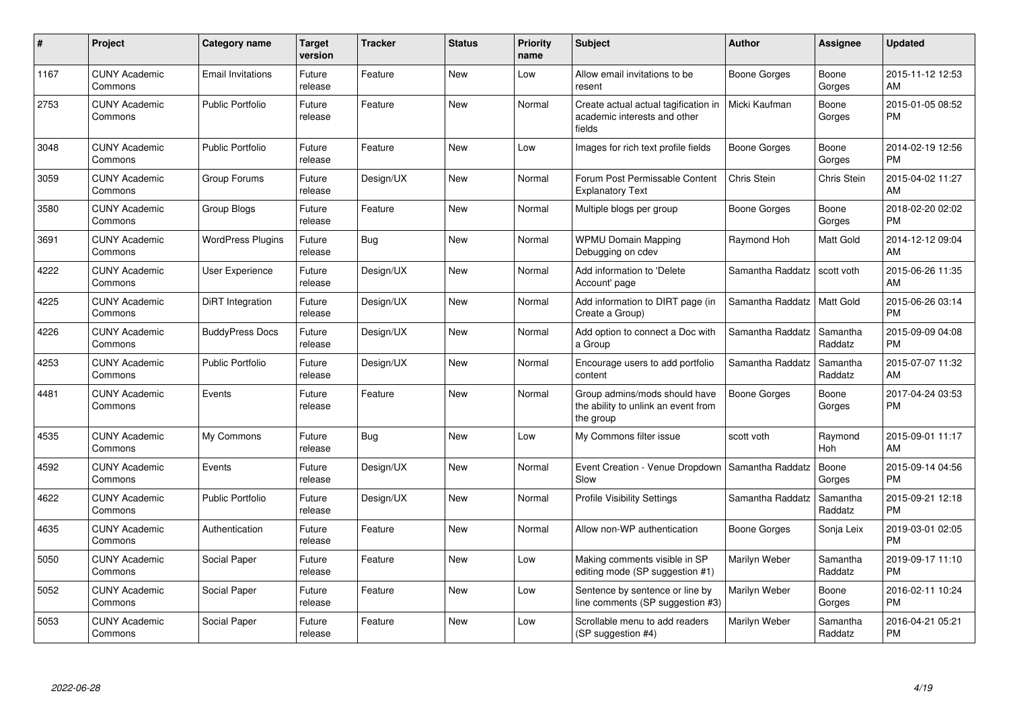| $\#$ | Project                         | Category name            | <b>Target</b><br>version | <b>Tracker</b> | <b>Status</b> | <b>Priority</b><br>name | <b>Subject</b>                                                                    | <b>Author</b>       | <b>Assignee</b>     | <b>Updated</b>                |
|------|---------------------------------|--------------------------|--------------------------|----------------|---------------|-------------------------|-----------------------------------------------------------------------------------|---------------------|---------------------|-------------------------------|
| 1167 | <b>CUNY Academic</b><br>Commons | <b>Email Invitations</b> | Future<br>release        | Feature        | <b>New</b>    | Low                     | Allow email invitations to be<br>resent                                           | Boone Gorges        | Boone<br>Gorges     | 2015-11-12 12:53<br>AM        |
| 2753 | <b>CUNY Academic</b><br>Commons | <b>Public Portfolio</b>  | Future<br>release        | Feature        | <b>New</b>    | Normal                  | Create actual actual tagification in<br>academic interests and other<br>fields    | Micki Kaufman       | Boone<br>Gorges     | 2015-01-05 08:52<br><b>PM</b> |
| 3048 | <b>CUNY Academic</b><br>Commons | <b>Public Portfolio</b>  | Future<br>release        | Feature        | <b>New</b>    | Low                     | Images for rich text profile fields                                               | <b>Boone Gorges</b> | Boone<br>Gorges     | 2014-02-19 12:56<br><b>PM</b> |
| 3059 | <b>CUNY Academic</b><br>Commons | Group Forums             | Future<br>release        | Design/UX      | <b>New</b>    | Normal                  | Forum Post Permissable Content<br><b>Explanatory Text</b>                         | Chris Stein         | Chris Stein         | 2015-04-02 11:27<br>AM        |
| 3580 | <b>CUNY Academic</b><br>Commons | Group Blogs              | Future<br>release        | Feature        | <b>New</b>    | Normal                  | Multiple blogs per group                                                          | Boone Gorges        | Boone<br>Gorges     | 2018-02-20 02:02<br><b>PM</b> |
| 3691 | <b>CUNY Academic</b><br>Commons | <b>WordPress Plugins</b> | Future<br>release        | <b>Bug</b>     | <b>New</b>    | Normal                  | <b>WPMU Domain Mapping</b><br>Debugging on cdev                                   | Raymond Hoh         | Matt Gold           | 2014-12-12 09:04<br>AM        |
| 4222 | <b>CUNY Academic</b><br>Commons | <b>User Experience</b>   | Future<br>release        | Design/UX      | <b>New</b>    | Normal                  | Add information to 'Delete<br>Account' page                                       | Samantha Raddatz    | scott voth          | 2015-06-26 11:35<br>AM        |
| 4225 | <b>CUNY Academic</b><br>Commons | <b>DiRT</b> Integration  | Future<br>release        | Design/UX      | <b>New</b>    | Normal                  | Add information to DIRT page (in<br>Create a Group)                               | Samantha Raddatz    | Matt Gold           | 2015-06-26 03:14<br><b>PM</b> |
| 4226 | <b>CUNY Academic</b><br>Commons | <b>BuddyPress Docs</b>   | Future<br>release        | Design/UX      | <b>New</b>    | Normal                  | Add option to connect a Doc with<br>a Group                                       | Samantha Raddatz    | Samantha<br>Raddatz | 2015-09-09 04:08<br><b>PM</b> |
| 4253 | <b>CUNY Academic</b><br>Commons | Public Portfolio         | Future<br>release        | Design/UX      | <b>New</b>    | Normal                  | Encourage users to add portfolio<br>content                                       | Samantha Raddatz    | Samantha<br>Raddatz | 2015-07-07 11:32<br>AM        |
| 4481 | <b>CUNY Academic</b><br>Commons | Events                   | Future<br>release        | Feature        | <b>New</b>    | Normal                  | Group admins/mods should have<br>the ability to unlink an event from<br>the group | Boone Gorges        | Boone<br>Gorges     | 2017-04-24 03:53<br><b>PM</b> |
| 4535 | <b>CUNY Academic</b><br>Commons | My Commons               | Future<br>release        | Bug            | <b>New</b>    | Low                     | My Commons filter issue                                                           | scott voth          | Raymond<br>Hoh      | 2015-09-01 11:17<br>AM        |
| 4592 | <b>CUNY Academic</b><br>Commons | Events                   | Future<br>release        | Design/UX      | <b>New</b>    | Normal                  | Event Creation - Venue Dropdown<br>Slow                                           | Samantha Raddatz    | Boone<br>Gorges     | 2015-09-14 04:56<br><b>PM</b> |
| 4622 | <b>CUNY Academic</b><br>Commons | <b>Public Portfolio</b>  | Future<br>release        | Design/UX      | <b>New</b>    | Normal                  | <b>Profile Visibility Settings</b>                                                | Samantha Raddatz    | Samantha<br>Raddatz | 2015-09-21 12:18<br><b>PM</b> |
| 4635 | <b>CUNY Academic</b><br>Commons | Authentication           | Future<br>release        | Feature        | <b>New</b>    | Normal                  | Allow non-WP authentication                                                       | Boone Gorges        | Sonja Leix          | 2019-03-01 02:05<br><b>PM</b> |
| 5050 | <b>CUNY Academic</b><br>Commons | Social Paper             | Future<br>release        | Feature        | <b>New</b>    | Low                     | Making comments visible in SP<br>editing mode (SP suggestion #1)                  | Marilyn Weber       | Samantha<br>Raddatz | 2019-09-17 11:10<br><b>PM</b> |
| 5052 | <b>CUNY Academic</b><br>Commons | Social Paper             | Future<br>release        | Feature        | <b>New</b>    | Low                     | Sentence by sentence or line by<br>line comments (SP suggestion #3)               | Marilyn Weber       | Boone<br>Gorges     | 2016-02-11 10:24<br><b>PM</b> |
| 5053 | CUNY Academic<br>Commons        | Social Paper             | Future<br>release        | Feature        | <b>New</b>    | Low                     | Scrollable menu to add readers<br>(SP suggestion #4)                              | Marilyn Weber       | Samantha<br>Raddatz | 2016-04-21 05:21<br><b>PM</b> |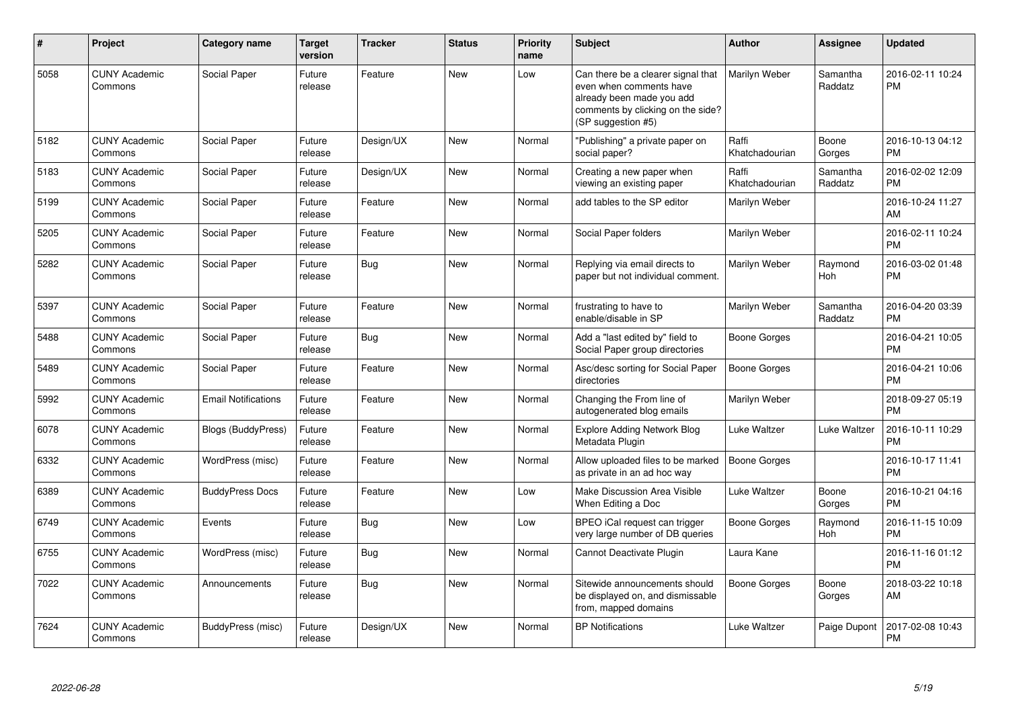| #    | Project                         | <b>Category name</b>       | <b>Target</b><br>version | <b>Tracker</b> | <b>Status</b> | <b>Priority</b><br>name | <b>Subject</b>                                                                                                                                        | <b>Author</b>           | <b>Assignee</b>     | <b>Updated</b>                |
|------|---------------------------------|----------------------------|--------------------------|----------------|---------------|-------------------------|-------------------------------------------------------------------------------------------------------------------------------------------------------|-------------------------|---------------------|-------------------------------|
| 5058 | <b>CUNY Academic</b><br>Commons | Social Paper               | Future<br>release        | Feature        | New           | Low                     | Can there be a clearer signal that<br>even when comments have<br>already been made you add<br>comments by clicking on the side?<br>(SP suggestion #5) | Marilyn Weber           | Samantha<br>Raddatz | 2016-02-11 10:24<br><b>PM</b> |
| 5182 | <b>CUNY Academic</b><br>Commons | Social Paper               | Future<br>release        | Design/UX      | New           | Normal                  | "Publishing" a private paper on<br>social paper?                                                                                                      | Raffi<br>Khatchadourian | Boone<br>Gorges     | 2016-10-13 04:12<br><b>PM</b> |
| 5183 | <b>CUNY Academic</b><br>Commons | Social Paper               | Future<br>release        | Design/UX      | New           | Normal                  | Creating a new paper when<br>viewing an existing paper                                                                                                | Raffi<br>Khatchadourian | Samantha<br>Raddatz | 2016-02-02 12:09<br><b>PM</b> |
| 5199 | <b>CUNY Academic</b><br>Commons | Social Paper               | Future<br>release        | Feature        | New           | Normal                  | add tables to the SP editor                                                                                                                           | Marilyn Weber           |                     | 2016-10-24 11:27<br>AM        |
| 5205 | <b>CUNY Academic</b><br>Commons | Social Paper               | Future<br>release        | Feature        | New           | Normal                  | Social Paper folders                                                                                                                                  | Marilyn Weber           |                     | 2016-02-11 10:24<br><b>PM</b> |
| 5282 | <b>CUNY Academic</b><br>Commons | Social Paper               | Future<br>release        | <b>Bug</b>     | New           | Normal                  | Replying via email directs to<br>paper but not individual comment.                                                                                    | Marilyn Weber           | Raymond<br>Hoh      | 2016-03-02 01:48<br><b>PM</b> |
| 5397 | <b>CUNY Academic</b><br>Commons | Social Paper               | Future<br>release        | Feature        | New           | Normal                  | frustrating to have to<br>enable/disable in SP                                                                                                        | Marilyn Weber           | Samantha<br>Raddatz | 2016-04-20 03:39<br><b>PM</b> |
| 5488 | <b>CUNY Academic</b><br>Commons | Social Paper               | Future<br>release        | <b>Bug</b>     | New           | Normal                  | Add a "last edited by" field to<br>Social Paper group directories                                                                                     | Boone Gorges            |                     | 2016-04-21 10:05<br><b>PM</b> |
| 5489 | <b>CUNY Academic</b><br>Commons | Social Paper               | Future<br>release        | Feature        | New           | Normal                  | Asc/desc sorting for Social Paper<br>directories                                                                                                      | Boone Gorges            |                     | 2016-04-21 10:06<br><b>PM</b> |
| 5992 | <b>CUNY Academic</b><br>Commons | <b>Email Notifications</b> | Future<br>release        | Feature        | New           | Normal                  | Changing the From line of<br>autogenerated blog emails                                                                                                | Marilyn Weber           |                     | 2018-09-27 05:19<br>PM        |
| 6078 | <b>CUNY Academic</b><br>Commons | <b>Blogs (BuddyPress)</b>  | Future<br>release        | Feature        | New           | Normal                  | <b>Explore Adding Network Blog</b><br>Metadata Plugin                                                                                                 | Luke Waltzer            | Luke Waltzer        | 2016-10-11 10:29<br><b>PM</b> |
| 6332 | <b>CUNY Academic</b><br>Commons | WordPress (misc)           | Future<br>release        | Feature        | <b>New</b>    | Normal                  | Allow uploaded files to be marked<br>as private in an ad hoc way                                                                                      | <b>Boone Gorges</b>     |                     | 2016-10-17 11:41<br><b>PM</b> |
| 6389 | <b>CUNY Academic</b><br>Commons | <b>BuddyPress Docs</b>     | Future<br>release        | Feature        | New           | Low                     | Make Discussion Area Visible<br>When Editing a Doc                                                                                                    | Luke Waltzer            | Boone<br>Gorges     | 2016-10-21 04:16<br><b>PM</b> |
| 6749 | <b>CUNY Academic</b><br>Commons | Events                     | Future<br>release        | <b>Bug</b>     | <b>New</b>    | Low                     | BPEO iCal request can trigger<br>very large number of DB queries                                                                                      | <b>Boone Gorges</b>     | Raymond<br>Hoh      | 2016-11-15 10:09<br><b>PM</b> |
| 6755 | <b>CUNY Academic</b><br>Commons | WordPress (misc)           | Future<br>release        | Bug            | New           | Normal                  | Cannot Deactivate Plugin                                                                                                                              | Laura Kane              |                     | 2016-11-16 01:12<br><b>PM</b> |
| 7022 | <b>CUNY Academic</b><br>Commons | Announcements              | Future<br>release        | <b>Bug</b>     | <b>New</b>    | Normal                  | Sitewide announcements should<br>be displayed on, and dismissable<br>from, mapped domains                                                             | Boone Gorges            | Boone<br>Gorges     | 2018-03-22 10:18<br>AM        |
| 7624 | <b>CUNY Academic</b><br>Commons | BuddyPress (misc)          | Future<br>release        | Design/UX      | <b>New</b>    | Normal                  | <b>BP Notifications</b>                                                                                                                               | Luke Waltzer            | Paige Dupont        | 2017-02-08 10:43<br><b>PM</b> |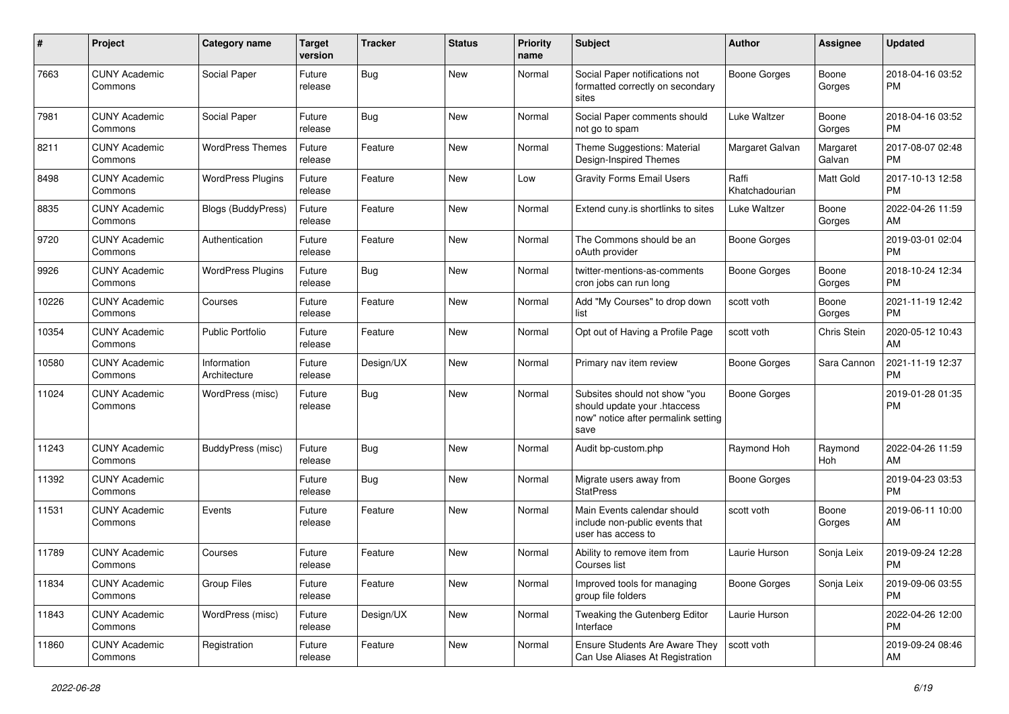| $\#$  | Project                         | <b>Category name</b>        | <b>Target</b><br>version | <b>Tracker</b> | <b>Status</b> | <b>Priority</b><br>name | <b>Subject</b>                                                                                               | <b>Author</b>           | <b>Assignee</b>    | <b>Updated</b>                |
|-------|---------------------------------|-----------------------------|--------------------------|----------------|---------------|-------------------------|--------------------------------------------------------------------------------------------------------------|-------------------------|--------------------|-------------------------------|
| 7663  | <b>CUNY Academic</b><br>Commons | Social Paper                | Future<br>release        | <b>Bug</b>     | <b>New</b>    | Normal                  | Social Paper notifications not<br>formatted correctly on secondary<br>sites                                  | <b>Boone Gorges</b>     | Boone<br>Gorges    | 2018-04-16 03:52<br>РM        |
| 7981  | <b>CUNY Academic</b><br>Commons | Social Paper                | Future<br>release        | <b>Bug</b>     | <b>New</b>    | Normal                  | Social Paper comments should<br>not go to spam                                                               | Luke Waltzer            | Boone<br>Gorges    | 2018-04-16 03:52<br><b>PM</b> |
| 8211  | <b>CUNY Academic</b><br>Commons | <b>WordPress Themes</b>     | Future<br>release        | Feature        | New           | Normal                  | Theme Suggestions: Material<br>Design-Inspired Themes                                                        | Margaret Galvan         | Margaret<br>Galvan | 2017-08-07 02:48<br><b>PM</b> |
| 8498  | <b>CUNY Academic</b><br>Commons | <b>WordPress Plugins</b>    | Future<br>release        | Feature        | New           | Low                     | <b>Gravity Forms Email Users</b>                                                                             | Raffi<br>Khatchadourian | Matt Gold          | 2017-10-13 12:58<br><b>PM</b> |
| 8835  | <b>CUNY Academic</b><br>Commons | <b>Blogs (BuddyPress)</b>   | Future<br>release        | Feature        | New           | Normal                  | Extend cuny.is shortlinks to sites                                                                           | Luke Waltzer            | Boone<br>Gorges    | 2022-04-26 11:59<br>AM        |
| 9720  | <b>CUNY Academic</b><br>Commons | Authentication              | Future<br>release        | Feature        | New           | Normal                  | The Commons should be an<br>oAuth provider                                                                   | Boone Gorges            |                    | 2019-03-01 02:04<br><b>PM</b> |
| 9926  | <b>CUNY Academic</b><br>Commons | <b>WordPress Plugins</b>    | Future<br>release        | <b>Bug</b>     | New           | Normal                  | twitter-mentions-as-comments<br>cron jobs can run long                                                       | <b>Boone Gorges</b>     | Boone<br>Gorges    | 2018-10-24 12:34<br><b>PM</b> |
| 10226 | <b>CUNY Academic</b><br>Commons | Courses                     | Future<br>release        | Feature        | New           | Normal                  | Add "My Courses" to drop down<br>list                                                                        | scott voth              | Boone<br>Gorges    | 2021-11-19 12:42<br><b>PM</b> |
| 10354 | <b>CUNY Academic</b><br>Commons | <b>Public Portfolio</b>     | Future<br>release        | Feature        | <b>New</b>    | Normal                  | Opt out of Having a Profile Page                                                                             | scott voth              | Chris Stein        | 2020-05-12 10:43<br>AM        |
| 10580 | <b>CUNY Academic</b><br>Commons | Information<br>Architecture | Future<br>release        | Design/UX      | New           | Normal                  | Primary nav item review                                                                                      | <b>Boone Gorges</b>     | Sara Cannon        | 2021-11-19 12:37<br><b>PM</b> |
| 11024 | <b>CUNY Academic</b><br>Commons | WordPress (misc)            | Future<br>release        | <b>Bug</b>     | <b>New</b>    | Normal                  | Subsites should not show "you<br>should update your .htaccess<br>now" notice after permalink setting<br>save | <b>Boone Gorges</b>     |                    | 2019-01-28 01:35<br>PM        |
| 11243 | <b>CUNY Academic</b><br>Commons | BuddyPress (misc)           | Future<br>release        | <b>Bug</b>     | New           | Normal                  | Audit bp-custom.php                                                                                          | Raymond Hoh             | Raymond<br>Hoh     | 2022-04-26 11:59<br>AM        |
| 11392 | <b>CUNY Academic</b><br>Commons |                             | Future<br>release        | <b>Bug</b>     | New           | Normal                  | Migrate users away from<br><b>StatPress</b>                                                                  | <b>Boone Gorges</b>     |                    | 2019-04-23 03:53<br><b>PM</b> |
| 11531 | <b>CUNY Academic</b><br>Commons | Events                      | Future<br>release        | Feature        | New           | Normal                  | Main Events calendar should<br>include non-public events that<br>user has access to                          | scott voth              | Boone<br>Gorges    | 2019-06-11 10:00<br>AM        |
| 11789 | <b>CUNY Academic</b><br>Commons | Courses                     | Future<br>release        | Feature        | New           | Normal                  | Ability to remove item from<br>Courses list                                                                  | Laurie Hurson           | Sonja Leix         | 2019-09-24 12:28<br>PM        |
| 11834 | <b>CUNY Academic</b><br>Commons | Group Files                 | Future<br>release        | Feature        | New           | Normal                  | Improved tools for managing<br>group file folders                                                            | <b>Boone Gorges</b>     | Sonja Leix         | 2019-09-06 03:55<br><b>PM</b> |
| 11843 | <b>CUNY Academic</b><br>Commons | WordPress (misc)            | Future<br>release        | Design/UX      | New           | Normal                  | Tweaking the Gutenberg Editor<br>Interface                                                                   | Laurie Hurson           |                    | 2022-04-26 12:00<br><b>PM</b> |
| 11860 | <b>CUNY Academic</b><br>Commons | Registration                | Future<br>release        | Feature        | New           | Normal                  | <b>Ensure Students Are Aware They</b><br>Can Use Aliases At Registration                                     | scott voth              |                    | 2019-09-24 08:46<br>AM        |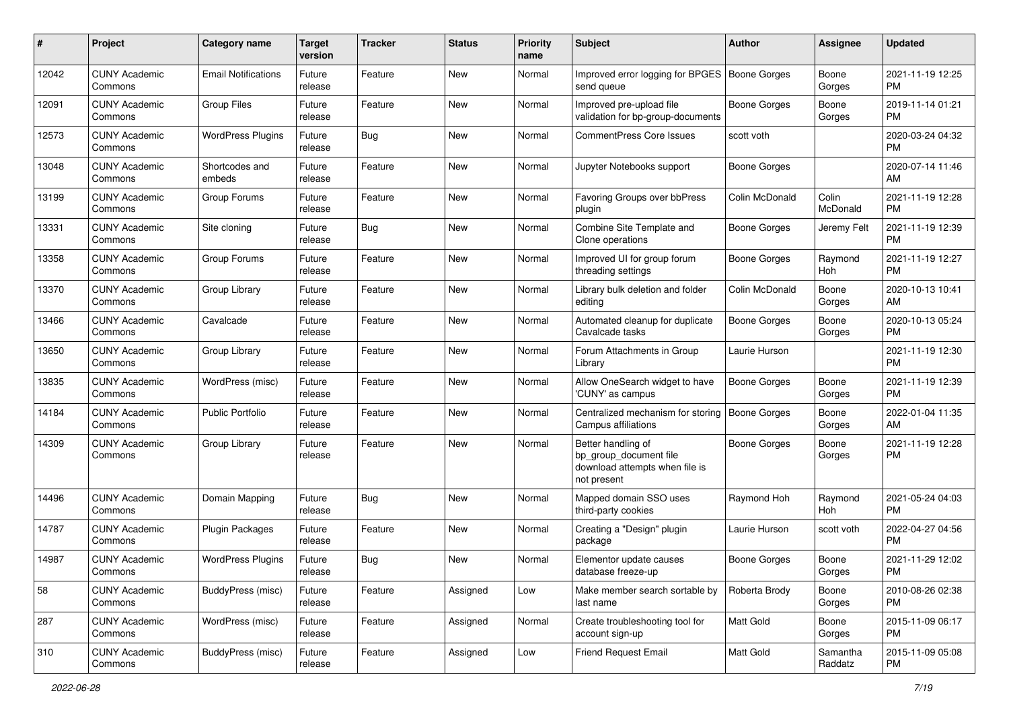| #     | Project                         | <b>Category name</b>       | <b>Target</b><br>version | <b>Tracker</b> | <b>Status</b> | <b>Priority</b><br>name | Subject                                                                                       | Author              | <b>Assignee</b>     | <b>Updated</b>                |
|-------|---------------------------------|----------------------------|--------------------------|----------------|---------------|-------------------------|-----------------------------------------------------------------------------------------------|---------------------|---------------------|-------------------------------|
| 12042 | <b>CUNY Academic</b><br>Commons | <b>Email Notifications</b> | Future<br>release        | Feature        | New           | Normal                  | Improved error logging for BPGES   Boone Gorges<br>send queue                                 |                     | Boone<br>Gorges     | 2021-11-19 12:25<br><b>PM</b> |
| 12091 | <b>CUNY Academic</b><br>Commons | <b>Group Files</b>         | Future<br>release        | Feature        | New           | Normal                  | Improved pre-upload file<br>validation for bp-group-documents                                 | <b>Boone Gorges</b> | Boone<br>Gorges     | 2019-11-14 01:21<br><b>PM</b> |
| 12573 | <b>CUNY Academic</b><br>Commons | <b>WordPress Plugins</b>   | Future<br>release        | <b>Bug</b>     | New           | Normal                  | <b>CommentPress Core Issues</b>                                                               | scott voth          |                     | 2020-03-24 04:32<br><b>PM</b> |
| 13048 | <b>CUNY Academic</b><br>Commons | Shortcodes and<br>embeds   | Future<br>release        | Feature        | <b>New</b>    | Normal                  | Jupyter Notebooks support                                                                     | <b>Boone Gorges</b> |                     | 2020-07-14 11:46<br>AM        |
| 13199 | <b>CUNY Academic</b><br>Commons | Group Forums               | Future<br>release        | Feature        | <b>New</b>    | Normal                  | Favoring Groups over bbPress<br>plugin                                                        | Colin McDonald      | Colin<br>McDonald   | 2021-11-19 12:28<br><b>PM</b> |
| 13331 | <b>CUNY Academic</b><br>Commons | Site cloning               | Future<br>release        | <b>Bug</b>     | New           | Normal                  | Combine Site Template and<br>Clone operations                                                 | <b>Boone Gorges</b> | Jeremy Felt         | 2021-11-19 12:39<br><b>PM</b> |
| 13358 | <b>CUNY Academic</b><br>Commons | Group Forums               | Future<br>release        | Feature        | New           | Normal                  | Improved UI for group forum<br>threading settings                                             | <b>Boone Gorges</b> | Raymond<br>Hoh      | 2021-11-19 12:27<br><b>PM</b> |
| 13370 | <b>CUNY Academic</b><br>Commons | Group Library              | Future<br>release        | Feature        | New           | Normal                  | Library bulk deletion and folder<br>editing                                                   | Colin McDonald      | Boone<br>Gorges     | 2020-10-13 10:41<br>AM        |
| 13466 | <b>CUNY Academic</b><br>Commons | Cavalcade                  | Future<br>release        | Feature        | <b>New</b>    | Normal                  | Automated cleanup for duplicate<br>Cavalcade tasks                                            | <b>Boone Gorges</b> | Boone<br>Gorges     | 2020-10-13 05:24<br><b>PM</b> |
| 13650 | <b>CUNY Academic</b><br>Commons | Group Library              | Future<br>release        | Feature        | <b>New</b>    | Normal                  | Forum Attachments in Group<br>Library                                                         | Laurie Hurson       |                     | 2021-11-19 12:30<br><b>PM</b> |
| 13835 | <b>CUNY Academic</b><br>Commons | WordPress (misc)           | Future<br>release        | Feature        | <b>New</b>    | Normal                  | Allow OneSearch widget to have<br>'CUNY' as campus                                            | <b>Boone Gorges</b> | Boone<br>Gorges     | 2021-11-19 12:39<br><b>PM</b> |
| 14184 | <b>CUNY Academic</b><br>Commons | <b>Public Portfolio</b>    | Future<br>release        | Feature        | <b>New</b>    | Normal                  | Centralized mechanism for storing<br>Campus affiliations                                      | <b>Boone Gorges</b> | Boone<br>Gorges     | 2022-01-04 11:35<br>AM        |
| 14309 | <b>CUNY Academic</b><br>Commons | Group Library              | Future<br>release        | Feature        | <b>New</b>    | Normal                  | Better handling of<br>bp_group_document file<br>download attempts when file is<br>not present | <b>Boone Gorges</b> | Boone<br>Gorges     | 2021-11-19 12:28<br><b>PM</b> |
| 14496 | <b>CUNY Academic</b><br>Commons | Domain Mapping             | Future<br>release        | <b>Bug</b>     | New           | Normal                  | Mapped domain SSO uses<br>third-party cookies                                                 | Raymond Hoh         | Raymond<br>Hoh      | 2021-05-24 04:03<br><b>PM</b> |
| 14787 | <b>CUNY Academic</b><br>Commons | <b>Plugin Packages</b>     | Future<br>release        | Feature        | New           | Normal                  | Creating a "Design" plugin<br>package                                                         | Laurie Hurson       | scott voth          | 2022-04-27 04:56<br><b>PM</b> |
| 14987 | <b>CUNY Academic</b><br>Commons | <b>WordPress Plugins</b>   | Future<br>release        | Bug            | New           | Normal                  | Elementor update causes<br>database freeze-up                                                 | <b>Boone Gorges</b> | Boone<br>Gorges     | 2021-11-29 12:02<br>PM        |
| 58    | <b>CUNY Academic</b><br>Commons | BuddyPress (misc)          | Future<br>release        | Feature        | Assigned      | Low                     | Make member search sortable by<br>last name                                                   | Roberta Brody       | Boone<br>Gorges     | 2010-08-26 02:38<br>PM        |
| 287   | <b>CUNY Academic</b><br>Commons | WordPress (misc)           | Future<br>release        | Feature        | Assigned      | Normal                  | Create troubleshooting tool for<br>account sign-up                                            | Matt Gold           | Boone<br>Gorges     | 2015-11-09 06:17<br><b>PM</b> |
| 310   | <b>CUNY Academic</b><br>Commons | BuddyPress (misc)          | Future<br>release        | Feature        | Assigned      | Low                     | Friend Request Email                                                                          | Matt Gold           | Samantha<br>Raddatz | 2015-11-09 05:08<br><b>PM</b> |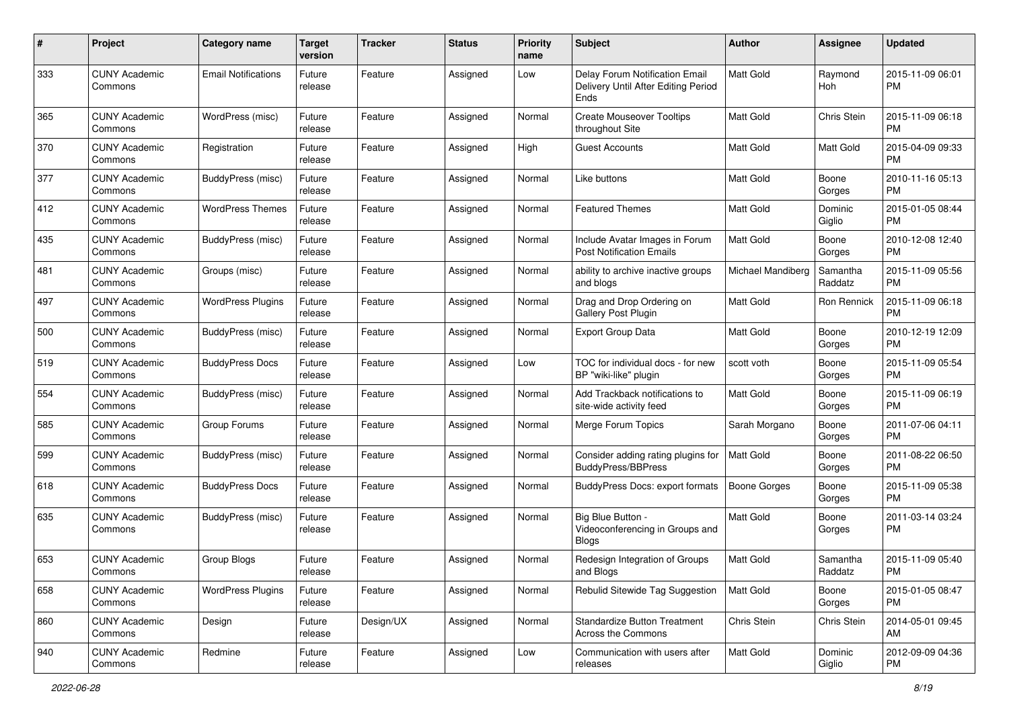| #   | Project                         | <b>Category name</b>       | <b>Target</b><br>version | <b>Tracker</b> | <b>Status</b> | <b>Priority</b><br>name | <b>Subject</b>                                                                | Author              | <b>Assignee</b>     | <b>Updated</b>                |
|-----|---------------------------------|----------------------------|--------------------------|----------------|---------------|-------------------------|-------------------------------------------------------------------------------|---------------------|---------------------|-------------------------------|
| 333 | <b>CUNY Academic</b><br>Commons | <b>Email Notifications</b> | Future<br>release        | Feature        | Assigned      | Low                     | Delay Forum Notification Email<br>Delivery Until After Editing Period<br>Ends | <b>Matt Gold</b>    | Raymond<br>Hoh      | 2015-11-09 06:01<br>PM        |
| 365 | <b>CUNY Academic</b><br>Commons | WordPress (misc)           | Future<br>release        | Feature        | Assigned      | Normal                  | <b>Create Mouseover Tooltips</b><br>throughout Site                           | <b>Matt Gold</b>    | Chris Stein         | 2015-11-09 06:18<br><b>PM</b> |
| 370 | <b>CUNY Academic</b><br>Commons | Registration               | Future<br>release        | Feature        | Assigned      | High                    | <b>Guest Accounts</b>                                                         | <b>Matt Gold</b>    | Matt Gold           | 2015-04-09 09:33<br><b>PM</b> |
| 377 | <b>CUNY Academic</b><br>Commons | BuddyPress (misc)          | Future<br>release        | Feature        | Assigned      | Normal                  | Like buttons                                                                  | <b>Matt Gold</b>    | Boone<br>Gorges     | 2010-11-16 05:13<br><b>PM</b> |
| 412 | <b>CUNY Academic</b><br>Commons | <b>WordPress Themes</b>    | Future<br>release        | Feature        | Assigned      | Normal                  | <b>Featured Themes</b>                                                        | <b>Matt Gold</b>    | Dominic<br>Giglio   | 2015-01-05 08:44<br>PM        |
| 435 | <b>CUNY Academic</b><br>Commons | BuddyPress (misc)          | Future<br>release        | Feature        | Assigned      | Normal                  | Include Avatar Images in Forum<br><b>Post Notification Emails</b>             | Matt Gold           | Boone<br>Gorges     | 2010-12-08 12:40<br><b>PM</b> |
| 481 | <b>CUNY Academic</b><br>Commons | Groups (misc)              | Future<br>release        | Feature        | Assigned      | Normal                  | ability to archive inactive groups<br>and blogs                               | Michael Mandiberg   | Samantha<br>Raddatz | 2015-11-09 05:56<br><b>PM</b> |
| 497 | <b>CUNY Academic</b><br>Commons | <b>WordPress Plugins</b>   | Future<br>release        | Feature        | Assigned      | Normal                  | Drag and Drop Ordering on<br><b>Gallery Post Plugin</b>                       | Matt Gold           | Ron Rennick         | 2015-11-09 06:18<br><b>PM</b> |
| 500 | <b>CUNY Academic</b><br>Commons | BuddyPress (misc)          | Future<br>release        | Feature        | Assigned      | Normal                  | Export Group Data                                                             | <b>Matt Gold</b>    | Boone<br>Gorges     | 2010-12-19 12:09<br><b>PM</b> |
| 519 | <b>CUNY Academic</b><br>Commons | <b>BuddyPress Docs</b>     | Future<br>release        | Feature        | Assigned      | Low                     | TOC for individual docs - for new<br>BP "wiki-like" plugin                    | scott voth          | Boone<br>Gorges     | 2015-11-09 05:54<br><b>PM</b> |
| 554 | <b>CUNY Academic</b><br>Commons | BuddyPress (misc)          | Future<br>release        | Feature        | Assigned      | Normal                  | Add Trackback notifications to<br>site-wide activity feed                     | <b>Matt Gold</b>    | Boone<br>Gorges     | 2015-11-09 06:19<br><b>PM</b> |
| 585 | <b>CUNY Academic</b><br>Commons | Group Forums               | Future<br>release        | Feature        | Assigned      | Normal                  | Merge Forum Topics                                                            | Sarah Morgano       | Boone<br>Gorges     | 2011-07-06 04:11<br><b>PM</b> |
| 599 | <b>CUNY Academic</b><br>Commons | BuddyPress (misc)          | Future<br>release        | Feature        | Assigned      | Normal                  | Consider adding rating plugins for<br><b>BuddyPress/BBPress</b>               | <b>Matt Gold</b>    | Boone<br>Gorges     | 2011-08-22 06:50<br><b>PM</b> |
| 618 | <b>CUNY Academic</b><br>Commons | <b>BuddyPress Docs</b>     | Future<br>release        | Feature        | Assigned      | Normal                  | BuddyPress Docs: export formats                                               | <b>Boone Gorges</b> | Boone<br>Gorges     | 2015-11-09 05:38<br>PM        |
| 635 | <b>CUNY Academic</b><br>Commons | BuddyPress (misc)          | Future<br>release        | Feature        | Assigned      | Normal                  | Big Blue Button -<br>Videoconferencing in Groups and<br><b>Blogs</b>          | Matt Gold           | Boone<br>Gorges     | 2011-03-14 03:24<br>PM        |
| 653 | <b>CUNY Academic</b><br>Commons | Group Blogs                | Future<br>release        | Feature        | Assigned      | Normal                  | Redesign Integration of Groups<br>and Blogs                                   | Matt Gold           | Samantha<br>Raddatz | 2015-11-09 05:40<br>PM        |
| 658 | <b>CUNY Academic</b><br>Commons | <b>WordPress Plugins</b>   | Future<br>release        | Feature        | Assigned      | Normal                  | Rebulid Sitewide Tag Suggestion                                               | <b>Matt Gold</b>    | Boone<br>Gorges     | 2015-01-05 08:47<br>PM        |
| 860 | <b>CUNY Academic</b><br>Commons | Design                     | Future<br>release        | Design/UX      | Assigned      | Normal                  | <b>Standardize Button Treatment</b><br>Across the Commons                     | Chris Stein         | Chris Stein         | 2014-05-01 09:45<br>AM        |
| 940 | <b>CUNY Academic</b><br>Commons | Redmine                    | Future<br>release        | Feature        | Assigned      | Low                     | Communication with users after<br>releases                                    | Matt Gold           | Dominic<br>Giglio   | 2012-09-09 04:36<br><b>PM</b> |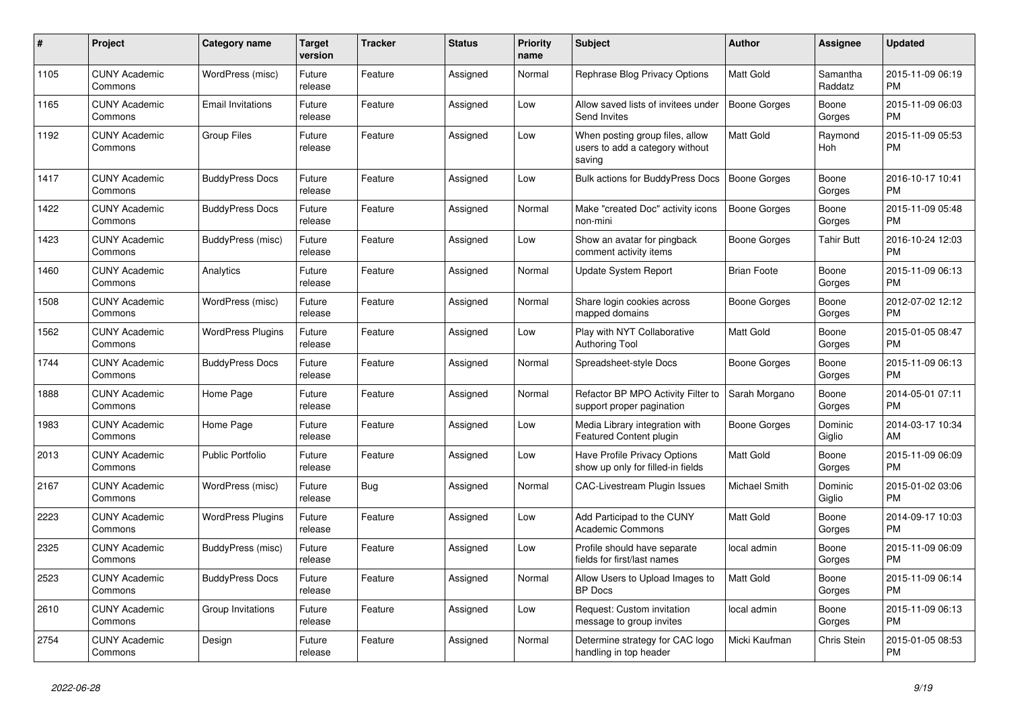| $\pmb{\#}$ | Project                         | Category name            | <b>Target</b><br>version | Tracker    | <b>Status</b> | <b>Priority</b><br>name | <b>Subject</b>                                                               | <b>Author</b>       | <b>Assignee</b>     | <b>Updated</b>                |
|------------|---------------------------------|--------------------------|--------------------------|------------|---------------|-------------------------|------------------------------------------------------------------------------|---------------------|---------------------|-------------------------------|
| 1105       | <b>CUNY Academic</b><br>Commons | WordPress (misc)         | Future<br>release        | Feature    | Assigned      | Normal                  | Rephrase Blog Privacy Options                                                | <b>Matt Gold</b>    | Samantha<br>Raddatz | 2015-11-09 06:19<br><b>PM</b> |
| 1165       | <b>CUNY Academic</b><br>Commons | <b>Email Invitations</b> | Future<br>release        | Feature    | Assigned      | Low                     | Allow saved lists of invitees under<br>Send Invites                          | Boone Gorges        | Boone<br>Gorges     | 2015-11-09 06:03<br><b>PM</b> |
| 1192       | <b>CUNY Academic</b><br>Commons | <b>Group Files</b>       | Future<br>release        | Feature    | Assigned      | Low                     | When posting group files, allow<br>users to add a category without<br>saving | Matt Gold           | Raymond<br>Hoh      | 2015-11-09 05:53<br><b>PM</b> |
| 1417       | <b>CUNY Academic</b><br>Commons | <b>BuddyPress Docs</b>   | Future<br>release        | Feature    | Assigned      | Low                     | <b>Bulk actions for BuddyPress Docs</b>                                      | Boone Gorges        | Boone<br>Gorges     | 2016-10-17 10:41<br><b>PM</b> |
| 1422       | <b>CUNY Academic</b><br>Commons | <b>BuddyPress Docs</b>   | Future<br>release        | Feature    | Assigned      | Normal                  | Make "created Doc" activity icons<br>non-mini                                | <b>Boone Gorges</b> | Boone<br>Gorges     | 2015-11-09 05:48<br><b>PM</b> |
| 1423       | <b>CUNY Academic</b><br>Commons | BuddyPress (misc)        | Future<br>release        | Feature    | Assigned      | Low                     | Show an avatar for pingback<br>comment activity items                        | Boone Gorges        | <b>Tahir Butt</b>   | 2016-10-24 12:03<br><b>PM</b> |
| 1460       | <b>CUNY Academic</b><br>Commons | Analytics                | Future<br>release        | Feature    | Assigned      | Normal                  | <b>Update System Report</b>                                                  | <b>Brian Foote</b>  | Boone<br>Gorges     | 2015-11-09 06:13<br><b>PM</b> |
| 1508       | <b>CUNY Academic</b><br>Commons | WordPress (misc)         | Future<br>release        | Feature    | Assigned      | Normal                  | Share login cookies across<br>mapped domains                                 | Boone Gorges        | Boone<br>Gorges     | 2012-07-02 12:12<br><b>PM</b> |
| 1562       | <b>CUNY Academic</b><br>Commons | <b>WordPress Plugins</b> | Future<br>release        | Feature    | Assigned      | Low                     | Play with NYT Collaborative<br><b>Authoring Tool</b>                         | <b>Matt Gold</b>    | Boone<br>Gorges     | 2015-01-05 08:47<br><b>PM</b> |
| 1744       | <b>CUNY Academic</b><br>Commons | <b>BuddyPress Docs</b>   | Future<br>release        | Feature    | Assigned      | Normal                  | Spreadsheet-style Docs                                                       | Boone Gorges        | Boone<br>Gorges     | 2015-11-09 06:13<br><b>PM</b> |
| 1888       | <b>CUNY Academic</b><br>Commons | Home Page                | Future<br>release        | Feature    | Assigned      | Normal                  | Refactor BP MPO Activity Filter to<br>support proper pagination              | Sarah Morgano       | Boone<br>Gorges     | 2014-05-01 07:11<br><b>PM</b> |
| 1983       | <b>CUNY Academic</b><br>Commons | Home Page                | Future<br>release        | Feature    | Assigned      | Low                     | Media Library integration with<br>Featured Content plugin                    | Boone Gorges        | Dominic<br>Giglio   | 2014-03-17 10:34<br>AM        |
| 2013       | <b>CUNY Academic</b><br>Commons | <b>Public Portfolio</b>  | Future<br>release        | Feature    | Assigned      | Low                     | Have Profile Privacy Options<br>show up only for filled-in fields            | <b>Matt Gold</b>    | Boone<br>Gorges     | 2015-11-09 06:09<br><b>PM</b> |
| 2167       | <b>CUNY Academic</b><br>Commons | WordPress (misc)         | Future<br>release        | <b>Bug</b> | Assigned      | Normal                  | CAC-Livestream Plugin Issues                                                 | Michael Smith       | Dominic<br>Giglio   | 2015-01-02 03:06<br><b>PM</b> |
| 2223       | <b>CUNY Academic</b><br>Commons | <b>WordPress Plugins</b> | Future<br>release        | Feature    | Assigned      | Low                     | Add Participad to the CUNY<br><b>Academic Commons</b>                        | <b>Matt Gold</b>    | Boone<br>Gorges     | 2014-09-17 10:03<br><b>PM</b> |
| 2325       | <b>CUNY Academic</b><br>Commons | BuddyPress (misc)        | Future<br>release        | Feature    | Assigned      | Low                     | Profile should have separate<br>fields for first/last names                  | local admin         | Boone<br>Gorges     | 2015-11-09 06:09<br><b>PM</b> |
| 2523       | <b>CUNY Academic</b><br>Commons | <b>BuddyPress Docs</b>   | Future<br>release        | Feature    | Assigned      | Normal                  | Allow Users to Upload Images to<br><b>BP</b> Docs                            | Matt Gold           | Boone<br>Gorges     | 2015-11-09 06:14<br><b>PM</b> |
| 2610       | <b>CUNY Academic</b><br>Commons | Group Invitations        | Future<br>release        | Feature    | Assigned      | Low                     | Request: Custom invitation<br>message to group invites                       | local admin         | Boone<br>Gorges     | 2015-11-09 06:13<br><b>PM</b> |
| 2754       | <b>CUNY Academic</b><br>Commons | Design                   | Future<br>release        | Feature    | Assigned      | Normal                  | Determine strategy for CAC logo<br>handling in top header                    | Micki Kaufman       | Chris Stein         | 2015-01-05 08:53<br><b>PM</b> |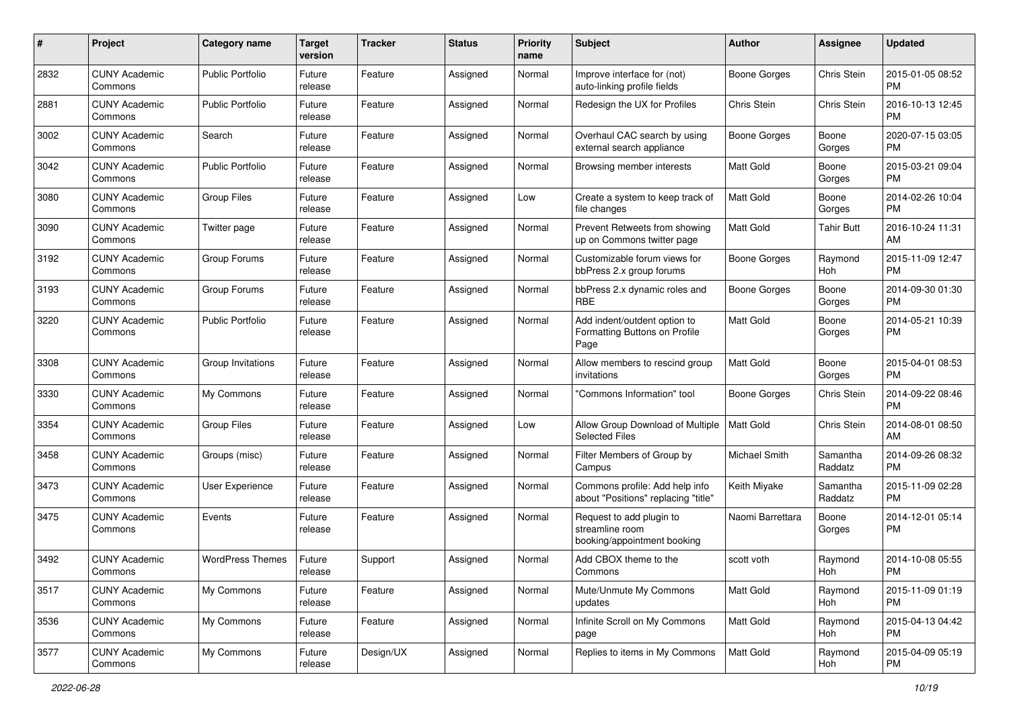| #    | Project                         | <b>Category name</b>    | <b>Target</b><br>version | <b>Tracker</b> | <b>Status</b> | <b>Priority</b><br>name | <b>Subject</b>                                                             | Author              | <b>Assignee</b>     | <b>Updated</b>                |
|------|---------------------------------|-------------------------|--------------------------|----------------|---------------|-------------------------|----------------------------------------------------------------------------|---------------------|---------------------|-------------------------------|
| 2832 | <b>CUNY Academic</b><br>Commons | <b>Public Portfolio</b> | Future<br>release        | Feature        | Assigned      | Normal                  | Improve interface for (not)<br>auto-linking profile fields                 | Boone Gorges        | Chris Stein         | 2015-01-05 08:52<br>PM        |
| 2881 | <b>CUNY Academic</b><br>Commons | <b>Public Portfolio</b> | Future<br>release        | Feature        | Assigned      | Normal                  | Redesign the UX for Profiles                                               | Chris Stein         | Chris Stein         | 2016-10-13 12:45<br><b>PM</b> |
| 3002 | <b>CUNY Academic</b><br>Commons | Search                  | Future<br>release        | Feature        | Assigned      | Normal                  | Overhaul CAC search by using<br>external search appliance                  | <b>Boone Gorges</b> | Boone<br>Gorges     | 2020-07-15 03:05<br><b>PM</b> |
| 3042 | <b>CUNY Academic</b><br>Commons | <b>Public Portfolio</b> | Future<br>release        | Feature        | Assigned      | Normal                  | Browsing member interests                                                  | Matt Gold           | Boone<br>Gorges     | 2015-03-21 09:04<br>PM        |
| 3080 | <b>CUNY Academic</b><br>Commons | <b>Group Files</b>      | Future<br>release        | Feature        | Assigned      | Low                     | Create a system to keep track of<br>file changes                           | Matt Gold           | Boone<br>Gorges     | 2014-02-26 10:04<br><b>PM</b> |
| 3090 | <b>CUNY Academic</b><br>Commons | Twitter page            | Future<br>release        | Feature        | Assigned      | Normal                  | Prevent Retweets from showing<br>up on Commons twitter page                | <b>Matt Gold</b>    | <b>Tahir Butt</b>   | 2016-10-24 11:31<br>AM        |
| 3192 | <b>CUNY Academic</b><br>Commons | Group Forums            | Future<br>release        | Feature        | Assigned      | Normal                  | Customizable forum views for<br>bbPress 2.x group forums                   | <b>Boone Gorges</b> | Raymond<br>Hoh      | 2015-11-09 12:47<br><b>PM</b> |
| 3193 | <b>CUNY Academic</b><br>Commons | Group Forums            | Future<br>release        | Feature        | Assigned      | Normal                  | bbPress 2.x dynamic roles and<br><b>RBE</b>                                | <b>Boone Gorges</b> | Boone<br>Gorges     | 2014-09-30 01:30<br><b>PM</b> |
| 3220 | <b>CUNY Academic</b><br>Commons | <b>Public Portfolio</b> | Future<br>release        | Feature        | Assigned      | Normal                  | Add indent/outdent option to<br>Formatting Buttons on Profile<br>Page      | Matt Gold           | Boone<br>Gorges     | 2014-05-21 10:39<br><b>PM</b> |
| 3308 | <b>CUNY Academic</b><br>Commons | Group Invitations       | Future<br>release        | Feature        | Assigned      | Normal                  | Allow members to rescind group<br>invitations                              | Matt Gold           | Boone<br>Gorges     | 2015-04-01 08:53<br><b>PM</b> |
| 3330 | <b>CUNY Academic</b><br>Commons | My Commons              | Future<br>release        | Feature        | Assigned      | Normal                  | 'Commons Information" tool                                                 | <b>Boone Gorges</b> | Chris Stein         | 2014-09-22 08:46<br><b>PM</b> |
| 3354 | <b>CUNY Academic</b><br>Commons | <b>Group Files</b>      | Future<br>release        | Feature        | Assigned      | Low                     | Allow Group Download of Multiple<br><b>Selected Files</b>                  | Matt Gold           | Chris Stein         | 2014-08-01 08:50<br>AM        |
| 3458 | <b>CUNY Academic</b><br>Commons | Groups (misc)           | Future<br>release        | Feature        | Assigned      | Normal                  | Filter Members of Group by<br>Campus                                       | Michael Smith       | Samantha<br>Raddatz | 2014-09-26 08:32<br><b>PM</b> |
| 3473 | <b>CUNY Academic</b><br>Commons | User Experience         | Future<br>release        | Feature        | Assigned      | Normal                  | Commons profile: Add help info<br>about "Positions" replacing "title"      | Keith Miyake        | Samantha<br>Raddatz | 2015-11-09 02:28<br><b>PM</b> |
| 3475 | <b>CUNY Academic</b><br>Commons | Events                  | Future<br>release        | Feature        | Assigned      | Normal                  | Request to add plugin to<br>streamline room<br>booking/appointment booking | Naomi Barrettara    | Boone<br>Gorges     | 2014-12-01 05:14<br>PM        |
| 3492 | <b>CUNY Academic</b><br>Commons | <b>WordPress Themes</b> | Future<br>release        | Support        | Assigned      | Normal                  | Add CBOX theme to the<br>Commons                                           | scott voth          | Raymond<br>Hoh      | 2014-10-08 05:55<br>PM        |
| 3517 | <b>CUNY Academic</b><br>Commons | My Commons              | Future<br>release        | Feature        | Assigned      | Normal                  | Mute/Unmute My Commons<br>updates                                          | Matt Gold           | Raymond<br>Hoh      | 2015-11-09 01:19<br>PM        |
| 3536 | <b>CUNY Academic</b><br>Commons | My Commons              | Future<br>release        | Feature        | Assigned      | Normal                  | Infinite Scroll on My Commons<br>page                                      | Matt Gold           | Raymond<br>Hoh      | 2015-04-13 04:42<br><b>PM</b> |
| 3577 | <b>CUNY Academic</b><br>Commons | My Commons              | Future<br>release        | Design/UX      | Assigned      | Normal                  | Replies to items in My Commons                                             | Matt Gold           | Raymond<br>Hoh      | 2015-04-09 05:19<br><b>PM</b> |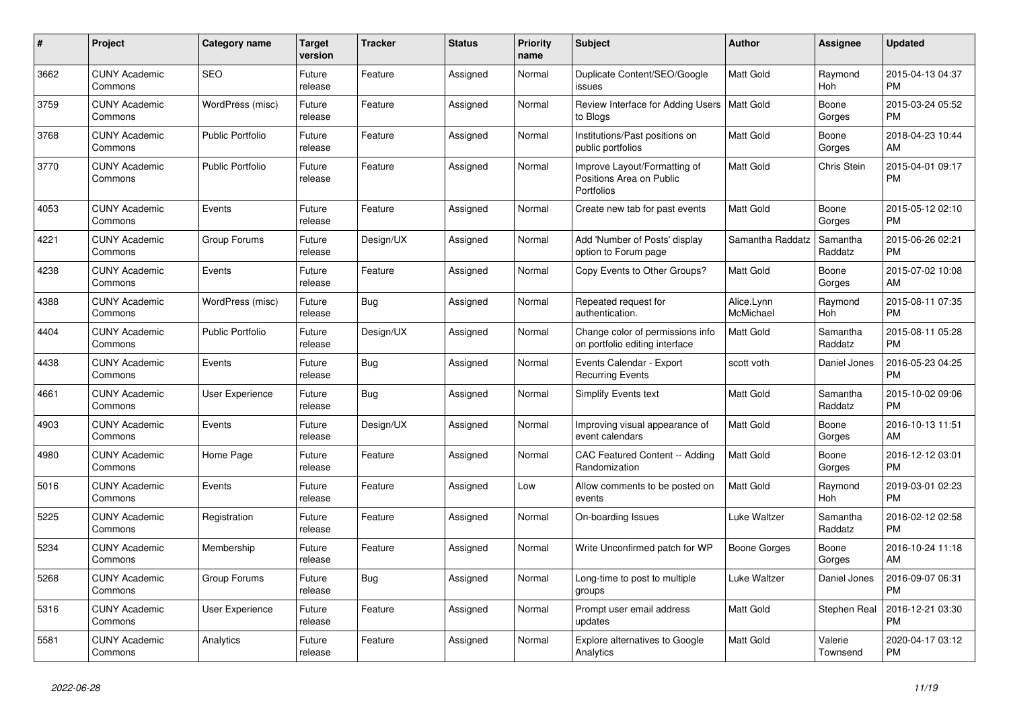| #    | <b>Project</b>                  | Category name           | <b>Target</b><br>version | <b>Tracker</b> | <b>Status</b> | Priority<br>name | <b>Subject</b>                                                         | <b>Author</b>           | Assignee            | <b>Updated</b>                |
|------|---------------------------------|-------------------------|--------------------------|----------------|---------------|------------------|------------------------------------------------------------------------|-------------------------|---------------------|-------------------------------|
| 3662 | <b>CUNY Academic</b><br>Commons | <b>SEO</b>              | Future<br>release        | Feature        | Assigned      | Normal           | Duplicate Content/SEO/Google<br>issues                                 | Matt Gold               | Raymond<br>Hoh      | 2015-04-13 04:37<br><b>PM</b> |
| 3759 | <b>CUNY Academic</b><br>Commons | WordPress (misc)        | Future<br>release        | Feature        | Assigned      | Normal           | Review Interface for Adding Users<br>to Blogs                          | <b>Matt Gold</b>        | Boone<br>Gorges     | 2015-03-24 05:52<br><b>PM</b> |
| 3768 | <b>CUNY Academic</b><br>Commons | <b>Public Portfolio</b> | Future<br>release        | Feature        | Assigned      | Normal           | Institutions/Past positions on<br>public portfolios                    | Matt Gold               | Boone<br>Gorges     | 2018-04-23 10:44<br>AM        |
| 3770 | <b>CUNY Academic</b><br>Commons | <b>Public Portfolio</b> | Future<br>release        | Feature        | Assigned      | Normal           | Improve Layout/Formatting of<br>Positions Area on Public<br>Portfolios | Matt Gold               | Chris Stein         | 2015-04-01 09:17<br><b>PM</b> |
| 4053 | <b>CUNY Academic</b><br>Commons | Events                  | Future<br>release        | Feature        | Assigned      | Normal           | Create new tab for past events                                         | Matt Gold               | Boone<br>Gorges     | 2015-05-12 02:10<br><b>PM</b> |
| 4221 | <b>CUNY Academic</b><br>Commons | Group Forums            | Future<br>release        | Design/UX      | Assigned      | Normal           | Add 'Number of Posts' display<br>option to Forum page                  | Samantha Raddatz        | Samantha<br>Raddatz | 2015-06-26 02:21<br><b>PM</b> |
| 4238 | <b>CUNY Academic</b><br>Commons | Events                  | Future<br>release        | Feature        | Assigned      | Normal           | Copy Events to Other Groups?                                           | Matt Gold               | Boone<br>Gorges     | 2015-07-02 10:08<br>AM        |
| 4388 | <b>CUNY Academic</b><br>Commons | WordPress (misc)        | Future<br>release        | <b>Bug</b>     | Assigned      | Normal           | Repeated request for<br>authentication.                                | Alice.Lynn<br>McMichael | Raymond<br>Hoh      | 2015-08-11 07:35<br><b>PM</b> |
| 4404 | <b>CUNY Academic</b><br>Commons | <b>Public Portfolio</b> | Future<br>release        | Design/UX      | Assigned      | Normal           | Change color of permissions info<br>on portfolio editing interface     | Matt Gold               | Samantha<br>Raddatz | 2015-08-11 05:28<br>РM        |
| 4438 | <b>CUNY Academic</b><br>Commons | Events                  | Future<br>release        | Bug            | Assigned      | Normal           | Events Calendar - Export<br><b>Recurring Events</b>                    | scott voth              | Daniel Jones        | 2016-05-23 04:25<br>PM        |
| 4661 | <b>CUNY Academic</b><br>Commons | <b>User Experience</b>  | Future<br>release        | <b>Bug</b>     | Assigned      | Normal           | <b>Simplify Events text</b>                                            | Matt Gold               | Samantha<br>Raddatz | 2015-10-02 09:06<br><b>PM</b> |
| 4903 | <b>CUNY Academic</b><br>Commons | Events                  | Future<br>release        | Design/UX      | Assigned      | Normal           | Improving visual appearance of<br>event calendars                      | Matt Gold               | Boone<br>Gorges     | 2016-10-13 11:51<br>AM        |
| 4980 | <b>CUNY Academic</b><br>Commons | Home Page               | Future<br>release        | Feature        | Assigned      | Normal           | CAC Featured Content -- Adding<br>Randomization                        | Matt Gold               | Boone<br>Gorges     | 2016-12-12 03:01<br><b>PM</b> |
| 5016 | <b>CUNY Academic</b><br>Commons | Events                  | Future<br>release        | Feature        | Assigned      | Low              | Allow comments to be posted on<br>events                               | Matt Gold               | Raymond<br>Hoh      | 2019-03-01 02:23<br><b>PM</b> |
| 5225 | <b>CUNY Academic</b><br>Commons | Registration            | Future<br>release        | Feature        | Assigned      | Normal           | On-boarding Issues                                                     | Luke Waltzer            | Samantha<br>Raddatz | 2016-02-12 02:58<br><b>PM</b> |
| 5234 | <b>CUNY Academic</b><br>Commons | Membership              | Future<br>release        | Feature        | Assigned      | Normal           | Write Unconfirmed patch for WP                                         | Boone Gorges            | Boone<br>Gorges     | 2016-10-24 11:18<br>AM        |
| 5268 | <b>CUNY Academic</b><br>Commons | Group Forums            | Future<br>release        | Bug            | Assigned      | Normal           | Long-time to post to multiple<br>groups                                | Luke Waltzer            | Daniel Jones        | 2016-09-07 06:31<br>PM        |
| 5316 | <b>CUNY Academic</b><br>Commons | <b>User Experience</b>  | Future<br>release        | Feature        | Assigned      | Normal           | Prompt user email address<br>updates                                   | Matt Gold               | Stephen Real        | 2016-12-21 03:30<br>РM        |
| 5581 | <b>CUNY Academic</b><br>Commons | Analytics               | Future<br>release        | Feature        | Assigned      | Normal           | Explore alternatives to Google<br>Analytics                            | Matt Gold               | Valerie<br>Townsend | 2020-04-17 03:12<br><b>PM</b> |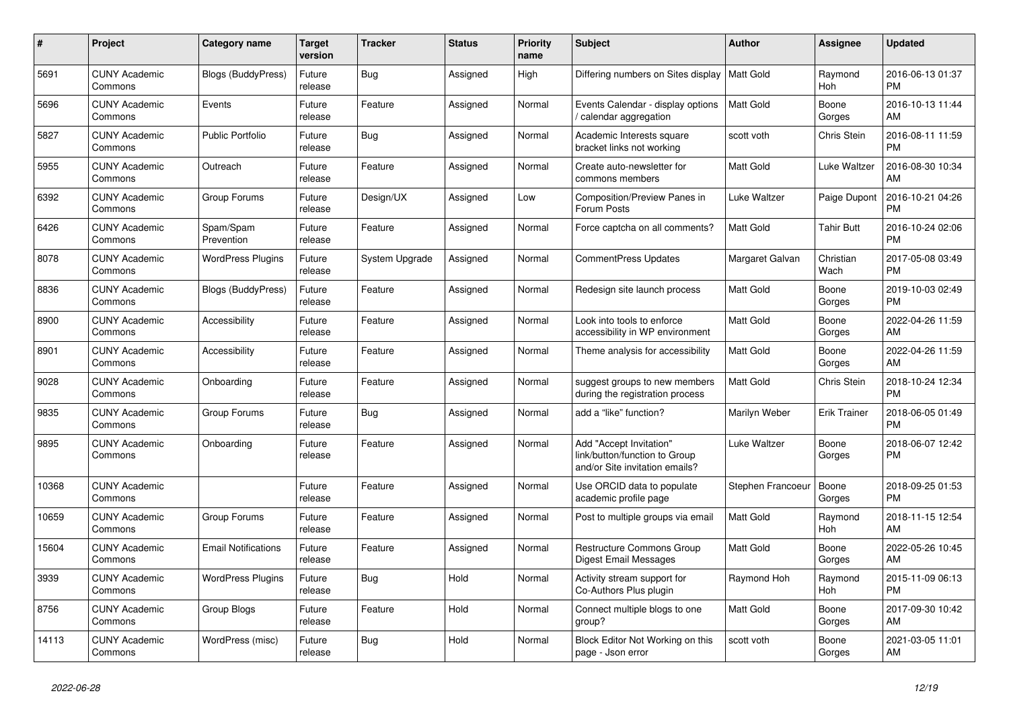| #     | <b>Project</b>                  | Category name              | <b>Target</b><br>version | <b>Tracker</b> | <b>Status</b> | Priority<br>name | <b>Subject</b>                                                                             | Author            | Assignee            | <b>Updated</b>                |
|-------|---------------------------------|----------------------------|--------------------------|----------------|---------------|------------------|--------------------------------------------------------------------------------------------|-------------------|---------------------|-------------------------------|
| 5691  | <b>CUNY Academic</b><br>Commons | <b>Blogs (BuddyPress)</b>  | Future<br>release        | <b>Bug</b>     | Assigned      | High             | Differing numbers on Sites display                                                         | Matt Gold         | Raymond<br>Hoh      | 2016-06-13 01:37<br><b>PM</b> |
| 5696  | <b>CUNY Academic</b><br>Commons | Events                     | Future<br>release        | Feature        | Assigned      | Normal           | Events Calendar - display options<br>calendar aggregation                                  | <b>Matt Gold</b>  | Boone<br>Gorges     | 2016-10-13 11:44<br>AM        |
| 5827  | <b>CUNY Academic</b><br>Commons | <b>Public Portfolio</b>    | Future<br>release        | <b>Bug</b>     | Assigned      | Normal           | Academic Interests square<br>bracket links not working                                     | scott voth        | Chris Stein         | 2016-08-11 11:59<br><b>PM</b> |
| 5955  | <b>CUNY Academic</b><br>Commons | Outreach                   | Future<br>release        | Feature        | Assigned      | Normal           | Create auto-newsletter for<br>commons members                                              | Matt Gold         | Luke Waltzer        | 2016-08-30 10:34<br>AM        |
| 6392  | <b>CUNY Academic</b><br>Commons | Group Forums               | Future<br>release        | Design/UX      | Assigned      | Low              | Composition/Preview Panes in<br>Forum Posts                                                | Luke Waltzer      | Paige Dupont        | 2016-10-21 04:26<br><b>PM</b> |
| 6426  | <b>CUNY Academic</b><br>Commons | Spam/Spam<br>Prevention    | Future<br>release        | Feature        | Assigned      | Normal           | Force captcha on all comments?                                                             | Matt Gold         | <b>Tahir Butt</b>   | 2016-10-24 02:06<br><b>PM</b> |
| 8078  | <b>CUNY Academic</b><br>Commons | <b>WordPress Plugins</b>   | Future<br>release        | System Upgrade | Assigned      | Normal           | CommentPress Updates                                                                       | Margaret Galvan   | Christian<br>Wach   | 2017-05-08 03:49<br><b>PM</b> |
| 8836  | <b>CUNY Academic</b><br>Commons | <b>Blogs (BuddyPress)</b>  | Future<br>release        | Feature        | Assigned      | Normal           | Redesign site launch process                                                               | <b>Matt Gold</b>  | Boone<br>Gorges     | 2019-10-03 02:49<br><b>PM</b> |
| 8900  | <b>CUNY Academic</b><br>Commons | Accessibility              | Future<br>release        | Feature        | Assigned      | Normal           | Look into tools to enforce<br>accessibility in WP environment                              | Matt Gold         | Boone<br>Gorges     | 2022-04-26 11:59<br>AM        |
| 8901  | <b>CUNY Academic</b><br>Commons | Accessibility              | Future<br>release        | Feature        | Assigned      | Normal           | Theme analysis for accessibility                                                           | <b>Matt Gold</b>  | Boone<br>Gorges     | 2022-04-26 11:59<br>AM        |
| 9028  | <b>CUNY Academic</b><br>Commons | Onboarding                 | Future<br>release        | Feature        | Assigned      | Normal           | suggest groups to new members<br>during the registration process                           | Matt Gold         | Chris Stein         | 2018-10-24 12:34<br><b>PM</b> |
| 9835  | <b>CUNY Academic</b><br>Commons | Group Forums               | Future<br>release        | <b>Bug</b>     | Assigned      | Normal           | add a "like" function?                                                                     | Marilyn Weber     | <b>Erik Trainer</b> | 2018-06-05 01:49<br><b>PM</b> |
| 9895  | <b>CUNY Academic</b><br>Commons | Onboarding                 | Future<br>release        | Feature        | Assigned      | Normal           | Add "Accept Invitation"<br>link/button/function to Group<br>and/or Site invitation emails? | Luke Waltzer      | Boone<br>Gorges     | 2018-06-07 12:42<br><b>PM</b> |
| 10368 | <b>CUNY Academic</b><br>Commons |                            | Future<br>release        | Feature        | Assigned      | Normal           | Use ORCID data to populate<br>academic profile page                                        | Stephen Francoeur | Boone<br>Gorges     | 2018-09-25 01:53<br><b>PM</b> |
| 10659 | <b>CUNY Academic</b><br>Commons | Group Forums               | Future<br>release        | Feature        | Assigned      | Normal           | Post to multiple groups via email                                                          | <b>Matt Gold</b>  | Raymond<br>Hoh      | 2018-11-15 12:54<br>AM        |
| 15604 | <b>CUNY Academic</b><br>Commons | <b>Email Notifications</b> | Future<br>release        | Feature        | Assigned      | Normal           | Restructure Commons Group<br>Digest Email Messages                                         | Matt Gold         | Boone<br>Gorges     | 2022-05-26 10:45<br>AM        |
| 3939  | <b>CUNY Academic</b><br>Commons | <b>WordPress Plugins</b>   | Future<br>release        | <b>Bug</b>     | Hold          | Normal           | Activity stream support for<br>Co-Authors Plus plugin                                      | Raymond Hoh       | Raymond<br>Hoh      | 2015-11-09 06:13<br><b>PM</b> |
| 8756  | <b>CUNY Academic</b><br>Commons | Group Blogs                | Future<br>release        | Feature        | Hold          | Normal           | Connect multiple blogs to one<br>group?                                                    | Matt Gold         | Boone<br>Gorges     | 2017-09-30 10:42<br>AM        |
| 14113 | <b>CUNY Academic</b><br>Commons | WordPress (misc)           | Future<br>release        | <b>Bug</b>     | Hold          | Normal           | Block Editor Not Working on this<br>page - Json error                                      | scott voth        | Boone<br>Gorges     | 2021-03-05 11:01<br>AM        |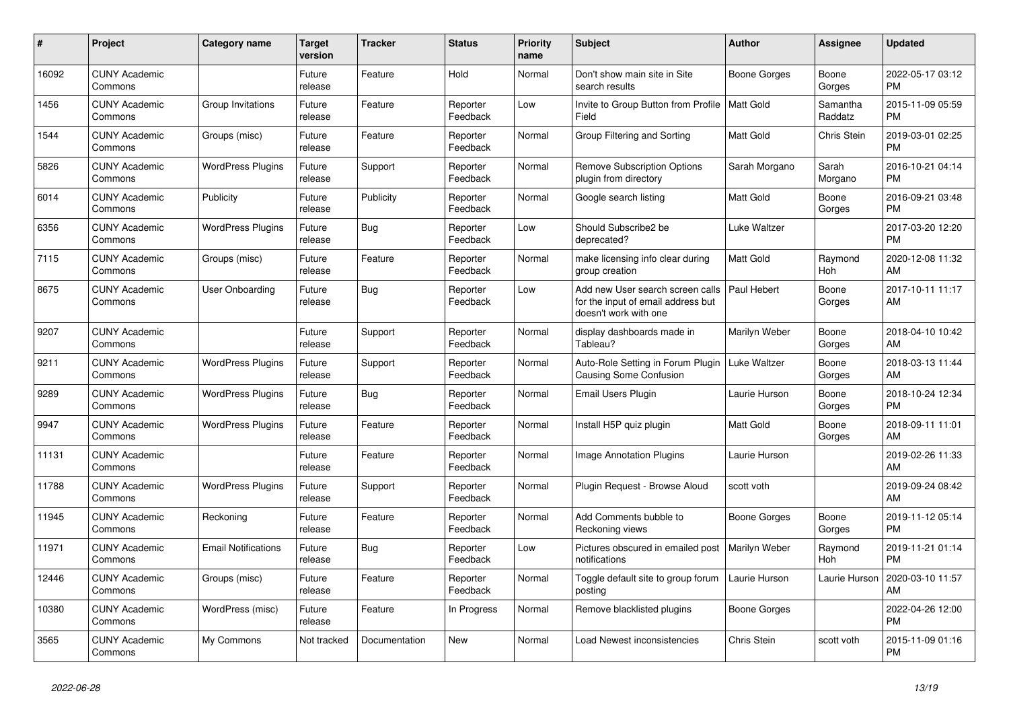| #     | Project                         | Category name              | Target<br>version | <b>Tracker</b> | <b>Status</b>        | <b>Priority</b><br>name | <b>Subject</b>                                                                                  | <b>Author</b>    | Assignee              | <b>Updated</b>                |
|-------|---------------------------------|----------------------------|-------------------|----------------|----------------------|-------------------------|-------------------------------------------------------------------------------------------------|------------------|-----------------------|-------------------------------|
| 16092 | <b>CUNY Academic</b><br>Commons |                            | Future<br>release | Feature        | Hold                 | Normal                  | Don't show main site in Site<br>search results                                                  | Boone Gorges     | Boone<br>Gorges       | 2022-05-17 03:12<br><b>PM</b> |
| 1456  | <b>CUNY Academic</b><br>Commons | Group Invitations          | Future<br>release | Feature        | Reporter<br>Feedback | Low                     | Invite to Group Button from Profile  <br>Field                                                  | <b>Matt Gold</b> | Samantha<br>Raddatz   | 2015-11-09 05:59<br><b>PM</b> |
| 1544  | <b>CUNY Academic</b><br>Commons | Groups (misc)              | Future<br>release | Feature        | Reporter<br>Feedback | Normal                  | Group Filtering and Sorting                                                                     | Matt Gold        | Chris Stein           | 2019-03-01 02:25<br><b>PM</b> |
| 5826  | <b>CUNY Academic</b><br>Commons | <b>WordPress Plugins</b>   | Future<br>release | Support        | Reporter<br>Feedback | Normal                  | <b>Remove Subscription Options</b><br>plugin from directory                                     | Sarah Morgano    | Sarah<br>Morgano      | 2016-10-21 04:14<br><b>PM</b> |
| 6014  | <b>CUNY Academic</b><br>Commons | Publicity                  | Future<br>release | Publicity      | Reporter<br>Feedback | Normal                  | Google search listing                                                                           | Matt Gold        | Boone<br>Gorges       | 2016-09-21 03:48<br><b>PM</b> |
| 6356  | <b>CUNY Academic</b><br>Commons | <b>WordPress Plugins</b>   | Future<br>release | Bug            | Reporter<br>Feedback | Low                     | Should Subscribe2 be<br>deprecated?                                                             | Luke Waltzer     |                       | 2017-03-20 12:20<br><b>PM</b> |
| 7115  | <b>CUNY Academic</b><br>Commons | Groups (misc)              | Future<br>release | Feature        | Reporter<br>Feedback | Normal                  | make licensing info clear during<br>group creation                                              | <b>Matt Gold</b> | Raymond<br><b>Hoh</b> | 2020-12-08 11:32<br>AM        |
| 8675  | <b>CUNY Academic</b><br>Commons | <b>User Onboarding</b>     | Future<br>release | Bug            | Reporter<br>Feedback | Low                     | Add new User search screen calls<br>for the input of email address but<br>doesn't work with one | Paul Hebert      | Boone<br>Gorges       | 2017-10-11 11:17<br>AM        |
| 9207  | <b>CUNY Academic</b><br>Commons |                            | Future<br>release | Support        | Reporter<br>Feedback | Normal                  | display dashboards made in<br>Tableau?                                                          | Marilyn Weber    | Boone<br>Gorges       | 2018-04-10 10:42<br>AM        |
| 9211  | <b>CUNY Academic</b><br>Commons | <b>WordPress Plugins</b>   | Future<br>release | Support        | Reporter<br>Feedback | Normal                  | Auto-Role Setting in Forum Plugin<br>Causing Some Confusion                                     | Luke Waltzer     | Boone<br>Gorges       | 2018-03-13 11:44<br>AM        |
| 9289  | <b>CUNY Academic</b><br>Commons | <b>WordPress Plugins</b>   | Future<br>release | Bug            | Reporter<br>Feedback | Normal                  | Email Users Plugin                                                                              | Laurie Hurson    | Boone<br>Gorges       | 2018-10-24 12:34<br><b>PM</b> |
| 9947  | <b>CUNY Academic</b><br>Commons | <b>WordPress Plugins</b>   | Future<br>release | Feature        | Reporter<br>Feedback | Normal                  | Install H5P quiz plugin                                                                         | Matt Gold        | Boone<br>Gorges       | 2018-09-11 11:01<br>AM        |
| 11131 | <b>CUNY Academic</b><br>Commons |                            | Future<br>release | Feature        | Reporter<br>Feedback | Normal                  | <b>Image Annotation Plugins</b>                                                                 | Laurie Hurson    |                       | 2019-02-26 11:33<br>AM        |
| 11788 | <b>CUNY Academic</b><br>Commons | <b>WordPress Plugins</b>   | Future<br>release | Support        | Reporter<br>Feedback | Normal                  | Plugin Reguest - Browse Aloud                                                                   | scott voth       |                       | 2019-09-24 08:42<br>AM        |
| 11945 | <b>CUNY Academic</b><br>Commons | Reckoning                  | Future<br>release | Feature        | Reporter<br>Feedback | Normal                  | Add Comments bubble to<br>Reckoning views                                                       | Boone Gorges     | Boone<br>Gorges       | 2019-11-12 05:14<br><b>PM</b> |
| 11971 | <b>CUNY Academic</b><br>Commons | <b>Email Notifications</b> | Future<br>release | <b>Bug</b>     | Reporter<br>Feedback | Low                     | Pictures obscured in emailed post<br>notifications                                              | Marilyn Weber    | Raymond<br><b>Hoh</b> | 2019-11-21 01:14<br><b>PM</b> |
| 12446 | <b>CUNY Academic</b><br>Commons | Groups (misc)              | Future<br>release | Feature        | Reporter<br>Feedback | Normal                  | Toggle default site to group forum<br>posting                                                   | Laurie Hurson    | Laurie Hurson         | 2020-03-10 11:57<br>AM        |
| 10380 | <b>CUNY Academic</b><br>Commons | WordPress (misc)           | Future<br>release | Feature        | In Progress          | Normal                  | Remove blacklisted plugins                                                                      | Boone Gorges     |                       | 2022-04-26 12:00<br><b>PM</b> |
| 3565  | <b>CUNY Academic</b><br>Commons | My Commons                 | Not tracked       | Documentation  | <b>New</b>           | Normal                  | Load Newest inconsistencies                                                                     | Chris Stein      | scott voth            | 2015-11-09 01:16<br><b>PM</b> |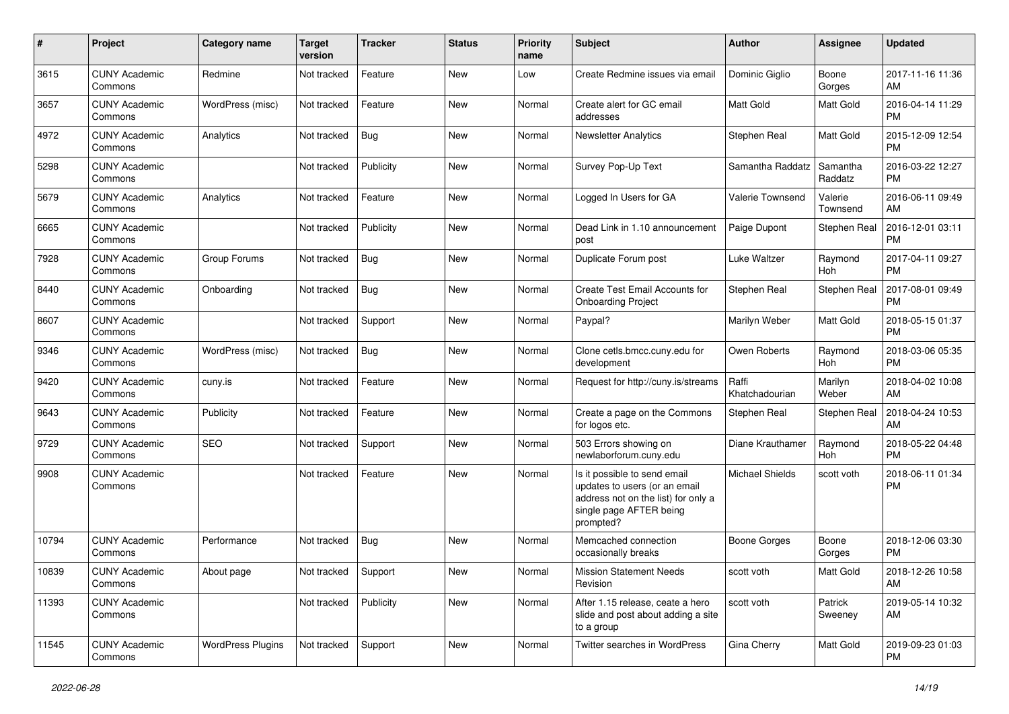| #     | Project                         | <b>Category name</b>     | <b>Target</b><br>version | <b>Tracker</b> | <b>Status</b> | <b>Priority</b><br>name | Subject                                                                                                                                      | <b>Author</b>           | <b>Assignee</b>     | <b>Updated</b>                |
|-------|---------------------------------|--------------------------|--------------------------|----------------|---------------|-------------------------|----------------------------------------------------------------------------------------------------------------------------------------------|-------------------------|---------------------|-------------------------------|
| 3615  | <b>CUNY Academic</b><br>Commons | Redmine                  | Not tracked              | Feature        | <b>New</b>    | Low                     | Create Redmine issues via email                                                                                                              | Dominic Giglio          | Boone<br>Gorges     | 2017-11-16 11:36<br>AM        |
| 3657  | <b>CUNY Academic</b><br>Commons | WordPress (misc)         | Not tracked              | Feature        | New           | Normal                  | Create alert for GC email<br>addresses                                                                                                       | Matt Gold               | <b>Matt Gold</b>    | 2016-04-14 11:29<br><b>PM</b> |
| 4972  | <b>CUNY Academic</b><br>Commons | Analytics                | Not tracked              | Bug            | New           | Normal                  | <b>Newsletter Analytics</b>                                                                                                                  | Stephen Real            | <b>Matt Gold</b>    | 2015-12-09 12:54<br><b>PM</b> |
| 5298  | <b>CUNY Academic</b><br>Commons |                          | Not tracked              | Publicity      | <b>New</b>    | Normal                  | Survey Pop-Up Text                                                                                                                           | Samantha Raddatz        | Samantha<br>Raddatz | 2016-03-22 12:27<br><b>PM</b> |
| 5679  | <b>CUNY Academic</b><br>Commons | Analytics                | Not tracked              | Feature        | <b>New</b>    | Normal                  | Logged In Users for GA                                                                                                                       | Valerie Townsend        | Valerie<br>Townsend | 2016-06-11 09:49<br>AM        |
| 6665  | <b>CUNY Academic</b><br>Commons |                          | Not tracked              | Publicity      | New           | Normal                  | Dead Link in 1.10 announcement<br>post                                                                                                       | Paige Dupont            | Stephen Real        | 2016-12-01 03:11<br><b>PM</b> |
| 7928  | <b>CUNY Academic</b><br>Commons | Group Forums             | Not tracked              | Bug            | New           | Normal                  | Duplicate Forum post                                                                                                                         | Luke Waltzer            | Raymond<br>Hoh      | 2017-04-11 09:27<br><b>PM</b> |
| 8440  | <b>CUNY Academic</b><br>Commons | Onboarding               | Not tracked              | Bug            | <b>New</b>    | Normal                  | <b>Create Test Email Accounts for</b><br><b>Onboarding Project</b>                                                                           | Stephen Real            | Stephen Real        | 2017-08-01 09:49<br><b>PM</b> |
| 8607  | <b>CUNY Academic</b><br>Commons |                          | Not tracked              | Support        | New           | Normal                  | Paypal?                                                                                                                                      | Marilyn Weber           | Matt Gold           | 2018-05-15 01:37<br><b>PM</b> |
| 9346  | <b>CUNY Academic</b><br>Commons | WordPress (misc)         | Not tracked              | <b>Bug</b>     | New           | Normal                  | Clone cetls.bmcc.cuny.edu for<br>development                                                                                                 | Owen Roberts            | Raymond<br>Hoh      | 2018-03-06 05:35<br><b>PM</b> |
| 9420  | <b>CUNY Academic</b><br>Commons | cuny.is                  | Not tracked              | Feature        | New           | Normal                  | Request for http://cuny.is/streams                                                                                                           | Raffi<br>Khatchadourian | Marilyn<br>Weber    | 2018-04-02 10:08<br>AM        |
| 9643  | <b>CUNY Academic</b><br>Commons | Publicity                | Not tracked              | Feature        | <b>New</b>    | Normal                  | Create a page on the Commons<br>for logos etc.                                                                                               | Stephen Real            | Stephen Real        | 2018-04-24 10:53<br>AM        |
| 9729  | <b>CUNY Academic</b><br>Commons | <b>SEO</b>               | Not tracked              | Support        | <b>New</b>    | Normal                  | 503 Errors showing on<br>newlaborforum.cuny.edu                                                                                              | Diane Krauthamer        | Raymond<br>Hoh      | 2018-05-22 04:48<br><b>PM</b> |
| 9908  | <b>CUNY Academic</b><br>Commons |                          | Not tracked              | Feature        | New           | Normal                  | Is it possible to send email<br>updates to users (or an email<br>address not on the list) for only a<br>single page AFTER being<br>prompted? | Michael Shields         | scott voth          | 2018-06-11 01:34<br><b>PM</b> |
| 10794 | <b>CUNY Academic</b><br>Commons | Performance              | Not tracked              | Bug            | <b>New</b>    | Normal                  | Memcached connection<br>occasionally breaks                                                                                                  | <b>Boone Gorges</b>     | Boone<br>Gorges     | 2018-12-06 03:30<br>PM        |
| 10839 | <b>CUNY Academic</b><br>Commons | About page               | Not tracked Support      |                | New           | Normal                  | <b>Mission Statement Needs</b><br>Revision                                                                                                   | scott voth              | Matt Gold           | 2018-12-26 10:58<br>AM        |
| 11393 | <b>CUNY Academic</b><br>Commons |                          | Not tracked              | Publicity      | New           | Normal                  | After 1.15 release, ceate a hero<br>slide and post about adding a site<br>to a group                                                         | scott voth              | Patrick<br>Sweeney  | 2019-05-14 10:32<br>AM        |
| 11545 | <b>CUNY Academic</b><br>Commons | <b>WordPress Plugins</b> | Not tracked              | Support        | New           | Normal                  | Twitter searches in WordPress                                                                                                                | Gina Cherry             | Matt Gold           | 2019-09-23 01:03<br><b>PM</b> |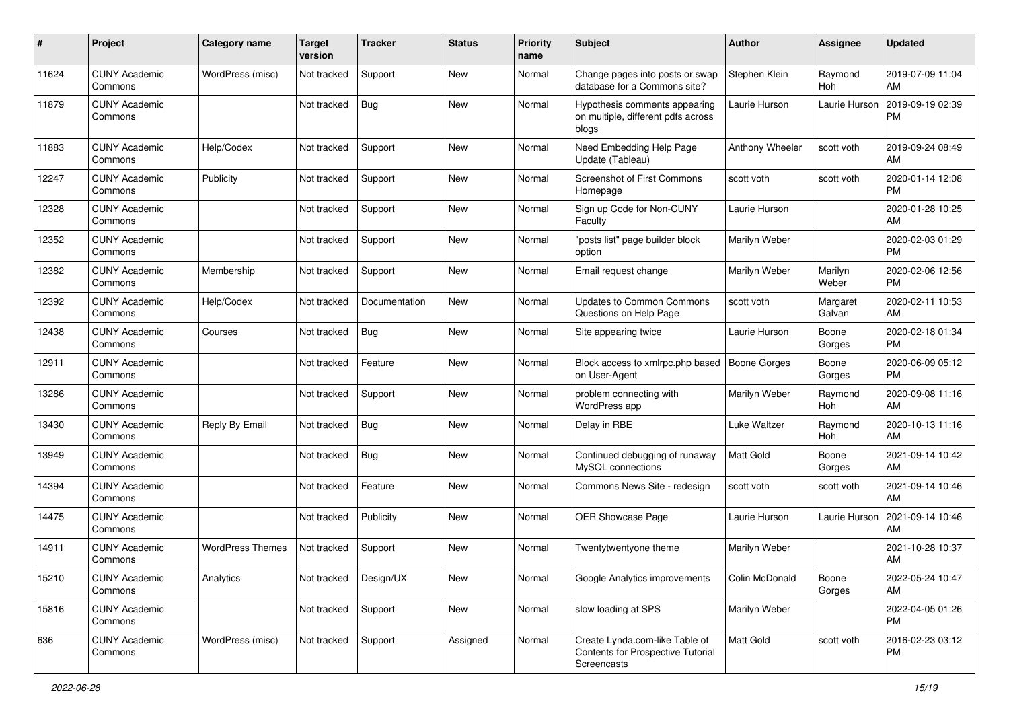| #     | Project                         | <b>Category name</b>    | Target<br>version | <b>Tracker</b> | <b>Status</b> | <b>Priority</b><br>name | Subject                                                                            | <b>Author</b>       | <b>Assignee</b>       | <b>Updated</b>                |
|-------|---------------------------------|-------------------------|-------------------|----------------|---------------|-------------------------|------------------------------------------------------------------------------------|---------------------|-----------------------|-------------------------------|
| 11624 | <b>CUNY Academic</b><br>Commons | WordPress (misc)        | Not tracked       | Support        | New           | Normal                  | Change pages into posts or swap<br>database for a Commons site?                    | Stephen Klein       | Raymond<br><b>Hoh</b> | 2019-07-09 11:04<br>AM        |
| 11879 | <b>CUNY Academic</b><br>Commons |                         | Not tracked       | <b>Bug</b>     | New           | Normal                  | Hypothesis comments appearing<br>on multiple, different pdfs across<br>blogs       | Laurie Hurson       | Laurie Hurson         | 2019-09-19 02:39<br><b>PM</b> |
| 11883 | <b>CUNY Academic</b><br>Commons | Help/Codex              | Not tracked       | Support        | New           | Normal                  | Need Embedding Help Page<br>Update (Tableau)                                       | Anthony Wheeler     | scott voth            | 2019-09-24 08:49<br>AM        |
| 12247 | <b>CUNY Academic</b><br>Commons | Publicity               | Not tracked       | Support        | New           | Normal                  | Screenshot of First Commons<br>Homepage                                            | scott voth          | scott voth            | 2020-01-14 12:08<br><b>PM</b> |
| 12328 | <b>CUNY Academic</b><br>Commons |                         | Not tracked       | Support        | <b>New</b>    | Normal                  | Sign up Code for Non-CUNY<br>Faculty                                               | Laurie Hurson       |                       | 2020-01-28 10:25<br>AM        |
| 12352 | <b>CUNY Academic</b><br>Commons |                         | Not tracked       | Support        | <b>New</b>    | Normal                  | "posts list" page builder block<br>option                                          | Marilyn Weber       |                       | 2020-02-03 01:29<br><b>PM</b> |
| 12382 | <b>CUNY Academic</b><br>Commons | Membership              | Not tracked       | Support        | New           | Normal                  | Email request change                                                               | Marilyn Weber       | Marilyn<br>Weber      | 2020-02-06 12:56<br><b>PM</b> |
| 12392 | <b>CUNY Academic</b><br>Commons | Help/Codex              | Not tracked       | Documentation  | New           | Normal                  | <b>Updates to Common Commons</b><br>Questions on Help Page                         | scott voth          | Margaret<br>Galvan    | 2020-02-11 10:53<br>AM        |
| 12438 | <b>CUNY Academic</b><br>Commons | Courses                 | Not tracked       | <b>Bug</b>     | <b>New</b>    | Normal                  | Site appearing twice                                                               | Laurie Hurson       | Boone<br>Gorges       | 2020-02-18 01:34<br><b>PM</b> |
| 12911 | <b>CUNY Academic</b><br>Commons |                         | Not tracked       | Feature        | New           | Normal                  | Block access to xmlrpc.php based<br>on User-Agent                                  | <b>Boone Gorges</b> | Boone<br>Gorges       | 2020-06-09 05:12<br><b>PM</b> |
| 13286 | <b>CUNY Academic</b><br>Commons |                         | Not tracked       | Support        | <b>New</b>    | Normal                  | problem connecting with<br>WordPress app                                           | Marilyn Weber       | Raymond<br>Hoh        | 2020-09-08 11:16<br>AM        |
| 13430 | <b>CUNY Academic</b><br>Commons | Reply By Email          | Not tracked       | Bug            | New           | Normal                  | Delay in RBE                                                                       | Luke Waltzer        | Raymond<br>Hoh        | 2020-10-13 11:16<br>AM        |
| 13949 | <b>CUNY Academic</b><br>Commons |                         | Not tracked       | Bug            | New           | Normal                  | Continued debugging of runaway<br>MySQL connections                                | <b>Matt Gold</b>    | Boone<br>Gorges       | 2021-09-14 10:42<br>AM        |
| 14394 | <b>CUNY Academic</b><br>Commons |                         | Not tracked       | Feature        | New           | Normal                  | Commons News Site - redesign                                                       | scott voth          | scott voth            | 2021-09-14 10:46<br>AM        |
| 14475 | <b>CUNY Academic</b><br>Commons |                         | Not tracked       | Publicity      | New           | Normal                  | <b>OER Showcase Page</b>                                                           | Laurie Hurson       | Laurie Hurson         | 2021-09-14 10:46<br>AM        |
| 14911 | <b>CUNY Academic</b><br>Commons | <b>WordPress Themes</b> | Not tracked       | Support        | <b>New</b>    | Normal                  | Twentytwentyone theme                                                              | Marilyn Weber       |                       | 2021-10-28 10:37<br>AM        |
| 15210 | <b>CUNY Academic</b><br>Commons | Analytics               | Not tracked       | Design/UX      | New           | Normal                  | Google Analytics improvements                                                      | Colin McDonald      | Boone<br>Gorges       | 2022-05-24 10:47<br>AM        |
| 15816 | <b>CUNY Academic</b><br>Commons |                         | Not tracked       | Support        | New           | Normal                  | slow loading at SPS                                                                | Marilyn Weber       |                       | 2022-04-05 01:26<br><b>PM</b> |
| 636   | <b>CUNY Academic</b><br>Commons | WordPress (misc)        | Not tracked       | Support        | Assigned      | Normal                  | Create Lynda.com-like Table of<br>Contents for Prospective Tutorial<br>Screencasts | Matt Gold           | scott voth            | 2016-02-23 03:12<br><b>PM</b> |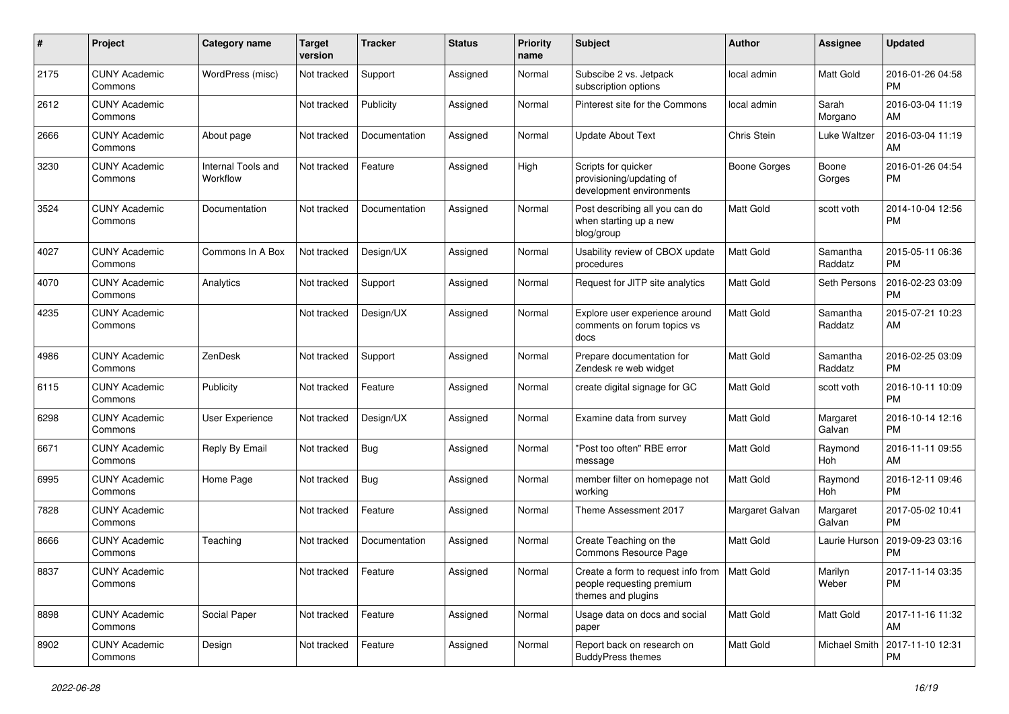| #    | Project                         | <b>Category name</b>           | <b>Target</b><br>version | <b>Tracker</b> | <b>Status</b> | <b>Priority</b><br>name | Subject                                                                                           | <b>Author</b>   | <b>Assignee</b>       | <b>Updated</b>                |
|------|---------------------------------|--------------------------------|--------------------------|----------------|---------------|-------------------------|---------------------------------------------------------------------------------------------------|-----------------|-----------------------|-------------------------------|
| 2175 | <b>CUNY Academic</b><br>Commons | WordPress (misc)               | Not tracked              | Support        | Assigned      | Normal                  | Subscibe 2 vs. Jetpack<br>subscription options                                                    | local admin     | Matt Gold             | 2016-01-26 04:58<br>PM        |
| 2612 | <b>CUNY Academic</b><br>Commons |                                | Not tracked              | Publicity      | Assigned      | Normal                  | Pinterest site for the Commons                                                                    | local admin     | Sarah<br>Morgano      | 2016-03-04 11:19<br>AM        |
| 2666 | <b>CUNY Academic</b><br>Commons | About page                     | Not tracked              | Documentation  | Assigned      | Normal                  | <b>Update About Text</b>                                                                          | Chris Stein     | Luke Waltzer          | 2016-03-04 11:19<br>AM        |
| 3230 | <b>CUNY Academic</b><br>Commons | Internal Tools and<br>Workflow | Not tracked              | Feature        | Assigned      | High                    | Scripts for quicker<br>provisioning/updating of<br>development environments                       | Boone Gorges    | Boone<br>Gorges       | 2016-01-26 04:54<br><b>PM</b> |
| 3524 | <b>CUNY Academic</b><br>Commons | Documentation                  | Not tracked              | Documentation  | Assigned      | Normal                  | Post describing all you can do<br>when starting up a new<br>blog/group                            | Matt Gold       | scott voth            | 2014-10-04 12:56<br><b>PM</b> |
| 4027 | <b>CUNY Academic</b><br>Commons | Commons In A Box               | Not tracked              | Design/UX      | Assigned      | Normal                  | Usability review of CBOX update<br>procedures                                                     | Matt Gold       | Samantha<br>Raddatz   | 2015-05-11 06:36<br><b>PM</b> |
| 4070 | <b>CUNY Academic</b><br>Commons | Analytics                      | Not tracked              | Support        | Assigned      | Normal                  | Request for JITP site analytics                                                                   | Matt Gold       | Seth Persons          | 2016-02-23 03:09<br>PM        |
| 4235 | <b>CUNY Academic</b><br>Commons |                                | Not tracked              | Design/UX      | Assigned      | Normal                  | Explore user experience around<br>comments on forum topics vs<br>docs                             | Matt Gold       | Samantha<br>Raddatz   | 2015-07-21 10:23<br>AM        |
| 4986 | <b>CUNY Academic</b><br>Commons | ZenDesk                        | Not tracked              | Support        | Assigned      | Normal                  | Prepare documentation for<br>Zendesk re web widget                                                | Matt Gold       | Samantha<br>Raddatz   | 2016-02-25 03:09<br><b>PM</b> |
| 6115 | <b>CUNY Academic</b><br>Commons | Publicity                      | Not tracked              | Feature        | Assigned      | Normal                  | create digital signage for GC                                                                     | Matt Gold       | scott voth            | 2016-10-11 10:09<br><b>PM</b> |
| 6298 | <b>CUNY Academic</b><br>Commons | User Experience                | Not tracked              | Design/UX      | Assigned      | Normal                  | Examine data from survey                                                                          | Matt Gold       | Margaret<br>Galvan    | 2016-10-14 12:16<br><b>PM</b> |
| 6671 | <b>CUNY Academic</b><br>Commons | Reply By Email                 | Not tracked              | <b>Bug</b>     | Assigned      | Normal                  | 'Post too often" RBE error<br>message                                                             | Matt Gold       | Raymond<br><b>Hoh</b> | 2016-11-11 09:55<br>AM        |
| 6995 | <b>CUNY Academic</b><br>Commons | Home Page                      | Not tracked              | Bug            | Assigned      | Normal                  | member filter on homepage not<br>working                                                          | Matt Gold       | Raymond<br>Hoh        | 2016-12-11 09:46<br><b>PM</b> |
| 7828 | <b>CUNY Academic</b><br>Commons |                                | Not tracked              | Feature        | Assigned      | Normal                  | Theme Assessment 2017                                                                             | Margaret Galvan | Margaret<br>Galvan    | 2017-05-02 10:41<br><b>PM</b> |
| 8666 | <b>CUNY Academic</b><br>Commons | Teaching                       | Not tracked              | Documentation  | Assigned      | Normal                  | Create Teaching on the<br>Commons Resource Page                                                   | Matt Gold       | Laurie Hurson         | 2019-09-23 03:16<br><b>PM</b> |
| 8837 | <b>CUNY Academic</b><br>Commons |                                | Not tracked   Feature    |                | Assigned      | Normal                  | Create a form to request info from   Matt Gold<br>people requesting premium<br>themes and plugins |                 | Marilyn<br>Weber      | 2017-11-14 03:35<br><b>PM</b> |
| 8898 | <b>CUNY Academic</b><br>Commons | Social Paper                   | Not tracked              | Feature        | Assigned      | Normal                  | Usage data on docs and social<br>paper                                                            | Matt Gold       | Matt Gold             | 2017-11-16 11:32<br>AM        |
| 8902 | <b>CUNY Academic</b><br>Commons | Design                         | Not tracked              | Feature        | Assigned      | Normal                  | Report back on research on<br><b>BuddyPress themes</b>                                            | Matt Gold       | Michael Smith         | 2017-11-10 12:31<br>PM        |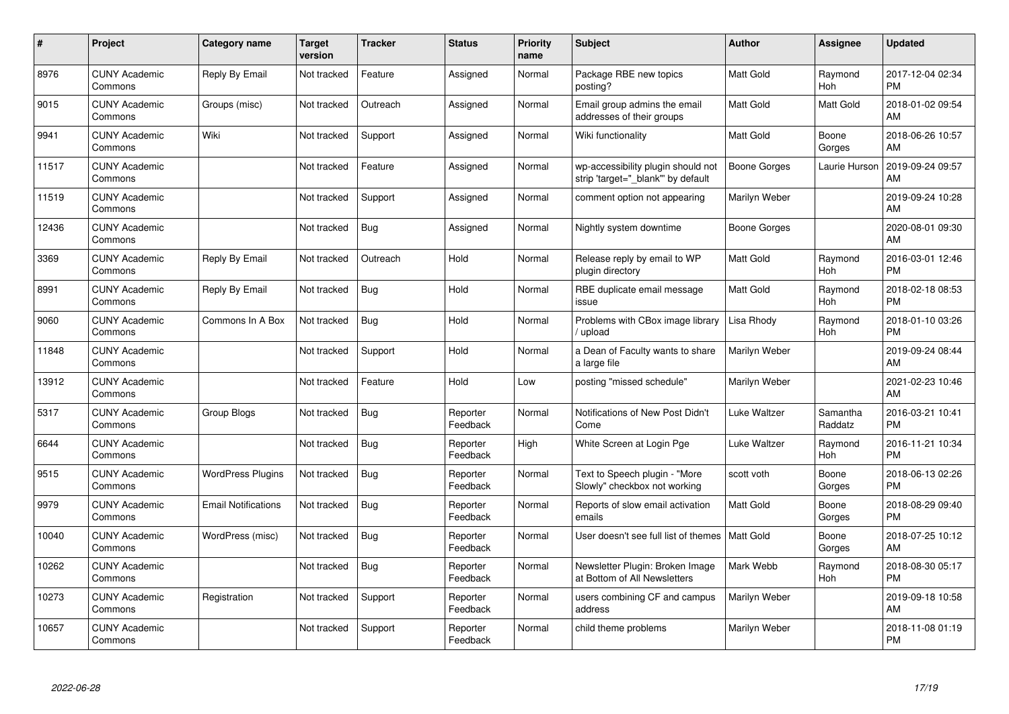| #     | <b>Project</b>                  | Category name              | <b>Target</b><br>version | <b>Tracker</b> | <b>Status</b>        | <b>Priority</b><br>name | <b>Subject</b>                                                          | <b>Author</b>    | <b>Assignee</b>       | <b>Updated</b>                |
|-------|---------------------------------|----------------------------|--------------------------|----------------|----------------------|-------------------------|-------------------------------------------------------------------------|------------------|-----------------------|-------------------------------|
| 8976  | <b>CUNY Academic</b><br>Commons | Reply By Email             | Not tracked              | Feature        | Assigned             | Normal                  | Package RBE new topics<br>posting?                                      | <b>Matt Gold</b> | Raymond<br>Hoh        | 2017-12-04 02:34<br><b>PM</b> |
| 9015  | <b>CUNY Academic</b><br>Commons | Groups (misc)              | Not tracked              | Outreach       | Assigned             | Normal                  | Email group admins the email<br>addresses of their groups               | <b>Matt Gold</b> | <b>Matt Gold</b>      | 2018-01-02 09:54<br>AM        |
| 9941  | <b>CUNY Academic</b><br>Commons | Wiki                       | Not tracked              | Support        | Assigned             | Normal                  | Wiki functionality                                                      | Matt Gold        | Boone<br>Gorges       | 2018-06-26 10:57<br>AM        |
| 11517 | <b>CUNY Academic</b><br>Commons |                            | Not tracked              | Feature        | Assigned             | Normal                  | wp-accessibility plugin should not<br>strip 'target=" blank" by default | Boone Gorges     | Laurie Hurson         | 2019-09-24 09:57<br>AM        |
| 11519 | <b>CUNY Academic</b><br>Commons |                            | Not tracked              | Support        | Assigned             | Normal                  | comment option not appearing                                            | Marilyn Weber    |                       | 2019-09-24 10:28<br>AM        |
| 12436 | <b>CUNY Academic</b><br>Commons |                            | Not tracked              | Bug            | Assigned             | Normal                  | Nightly system downtime                                                 | Boone Gorges     |                       | 2020-08-01 09:30<br>AM        |
| 3369  | <b>CUNY Academic</b><br>Commons | Reply By Email             | Not tracked              | Outreach       | Hold                 | Normal                  | Release reply by email to WP<br>plugin directory                        | <b>Matt Gold</b> | Raymond<br><b>Hoh</b> | 2016-03-01 12:46<br><b>PM</b> |
| 8991  | <b>CUNY Academic</b><br>Commons | Reply By Email             | Not tracked              | Bug            | Hold                 | Normal                  | RBE duplicate email message<br>issue                                    | Matt Gold        | Raymond<br>Hoh        | 2018-02-18 08:53<br><b>PM</b> |
| 9060  | <b>CUNY Academic</b><br>Commons | Commons In A Box           | Not tracked              | <b>Bug</b>     | Hold                 | Normal                  | Problems with CBox image library<br>/ upload                            | Lisa Rhody       | Raymond<br>Hoh        | 2018-01-10 03:26<br><b>PM</b> |
| 11848 | <b>CUNY Academic</b><br>Commons |                            | Not tracked              | Support        | Hold                 | Normal                  | a Dean of Faculty wants to share<br>a large file                        | Marilyn Weber    |                       | 2019-09-24 08:44<br>AM        |
| 13912 | <b>CUNY Academic</b><br>Commons |                            | Not tracked              | Feature        | Hold                 | Low                     | posting "missed schedule"                                               | Marilyn Weber    |                       | 2021-02-23 10:46<br>AM        |
| 5317  | <b>CUNY Academic</b><br>Commons | Group Blogs                | Not tracked              | <b>Bug</b>     | Reporter<br>Feedback | Normal                  | Notifications of New Post Didn't<br>Come                                | Luke Waltzer     | Samantha<br>Raddatz   | 2016-03-21 10:41<br><b>PM</b> |
| 6644  | <b>CUNY Academic</b><br>Commons |                            | Not tracked              | <b>Bug</b>     | Reporter<br>Feedback | High                    | White Screen at Login Pge                                               | Luke Waltzer     | Raymond<br><b>Hoh</b> | 2016-11-21 10:34<br><b>PM</b> |
| 9515  | <b>CUNY Academic</b><br>Commons | <b>WordPress Plugins</b>   | Not tracked              | Bug            | Reporter<br>Feedback | Normal                  | Text to Speech plugin - "More<br>Slowly" checkbox not working           | scott voth       | Boone<br>Gorges       | 2018-06-13 02:26<br><b>PM</b> |
| 9979  | <b>CUNY Academic</b><br>Commons | <b>Email Notifications</b> | Not tracked              | <b>Bug</b>     | Reporter<br>Feedback | Normal                  | Reports of slow email activation<br>emails                              | Matt Gold        | Boone<br>Gorges       | 2018-08-29 09:40<br><b>PM</b> |
| 10040 | <b>CUNY Academic</b><br>Commons | WordPress (misc)           | Not tracked              | Bug            | Reporter<br>Feedback | Normal                  | User doesn't see full list of themes   Matt Gold                        |                  | Boone<br>Gorges       | 2018-07-25 10:12<br>AM        |
| 10262 | <b>CUNY Academic</b><br>Commons |                            | Not tracked              | Bug            | Reporter<br>Feedback | Normal                  | Newsletter Plugin: Broken Image<br>at Bottom of All Newsletters         | Mark Webb        | Raymond<br><b>Hoh</b> | 2018-08-30 05:17<br><b>PM</b> |
| 10273 | <b>CUNY Academic</b><br>Commons | Registration               | Not tracked              | Support        | Reporter<br>Feedback | Normal                  | users combining CF and campus<br>address                                | Marilyn Weber    |                       | 2019-09-18 10:58<br>AM        |
| 10657 | <b>CUNY Academic</b><br>Commons |                            | Not tracked              | Support        | Reporter<br>Feedback | Normal                  | child theme problems                                                    | Marilyn Weber    |                       | 2018-11-08 01:19<br>PM        |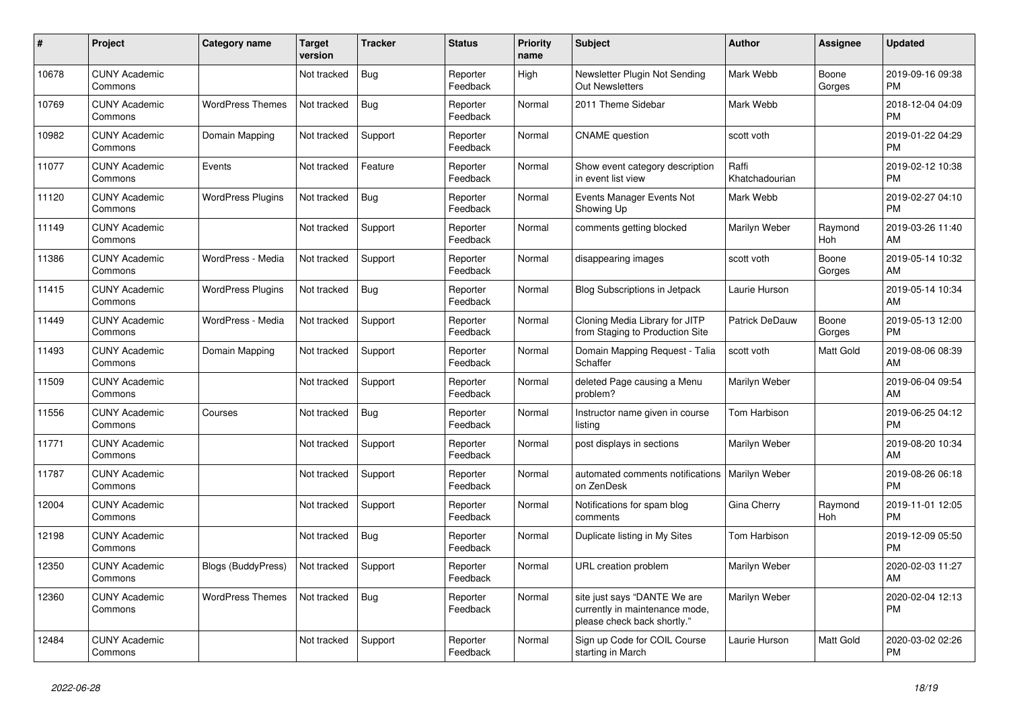| #     | <b>Project</b>                  | Category name            | Target<br>version | <b>Tracker</b> | <b>Status</b>        | <b>Priority</b><br>name | <b>Subject</b>                                                                                | <b>Author</b>           | Assignee              | <b>Updated</b>                |
|-------|---------------------------------|--------------------------|-------------------|----------------|----------------------|-------------------------|-----------------------------------------------------------------------------------------------|-------------------------|-----------------------|-------------------------------|
| 10678 | <b>CUNY Academic</b><br>Commons |                          | Not tracked       | Bug            | Reporter<br>Feedback | High                    | Newsletter Plugin Not Sending<br>Out Newsletters                                              | Mark Webb               | Boone<br>Gorges       | 2019-09-16 09:38<br><b>PM</b> |
| 10769 | <b>CUNY Academic</b><br>Commons | <b>WordPress Themes</b>  | Not tracked       | Bug            | Reporter<br>Feedback | Normal                  | 2011 Theme Sidebar                                                                            | Mark Webb               |                       | 2018-12-04 04:09<br><b>PM</b> |
| 10982 | <b>CUNY Academic</b><br>Commons | Domain Mapping           | Not tracked       | Support        | Reporter<br>Feedback | Normal                  | <b>CNAME</b> question                                                                         | scott voth              |                       | 2019-01-22 04:29<br><b>PM</b> |
| 11077 | <b>CUNY Academic</b><br>Commons | Events                   | Not tracked       | Feature        | Reporter<br>Feedback | Normal                  | Show event category description<br>in event list view                                         | Raffi<br>Khatchadourian |                       | 2019-02-12 10:38<br><b>PM</b> |
| 11120 | <b>CUNY Academic</b><br>Commons | <b>WordPress Plugins</b> | Not tracked       | Bug            | Reporter<br>Feedback | Normal                  | Events Manager Events Not<br>Showing Up                                                       | Mark Webb               |                       | 2019-02-27 04:10<br><b>PM</b> |
| 11149 | <b>CUNY Academic</b><br>Commons |                          | Not tracked       | Support        | Reporter<br>Feedback | Normal                  | comments getting blocked                                                                      | Marilyn Weber           | Raymond<br><b>Hoh</b> | 2019-03-26 11:40<br>AM        |
| 11386 | <b>CUNY Academic</b><br>Commons | WordPress - Media        | Not tracked       | Support        | Reporter<br>Feedback | Normal                  | disappearing images                                                                           | scott voth              | Boone<br>Gorges       | 2019-05-14 10:32<br>AM        |
| 11415 | <b>CUNY Academic</b><br>Commons | <b>WordPress Plugins</b> | Not tracked       | Bug            | Reporter<br>Feedback | Normal                  | <b>Blog Subscriptions in Jetpack</b>                                                          | Laurie Hurson           |                       | 2019-05-14 10:34<br>AM        |
| 11449 | <b>CUNY Academic</b><br>Commons | WordPress - Media        | Not tracked       | Support        | Reporter<br>Feedback | Normal                  | Cloning Media Library for JITP<br>from Staging to Production Site                             | Patrick DeDauw          | Boone<br>Gorges       | 2019-05-13 12:00<br><b>PM</b> |
| 11493 | <b>CUNY Academic</b><br>Commons | Domain Mapping           | Not tracked       | Support        | Reporter<br>Feedback | Normal                  | Domain Mapping Request - Talia<br>Schaffer                                                    | scott voth              | <b>Matt Gold</b>      | 2019-08-06 08:39<br>AM        |
| 11509 | <b>CUNY Academic</b><br>Commons |                          | Not tracked       | Support        | Reporter<br>Feedback | Normal                  | deleted Page causing a Menu<br>problem?                                                       | Marilyn Weber           |                       | 2019-06-04 09:54<br>AM        |
| 11556 | <b>CUNY Academic</b><br>Commons | Courses                  | Not tracked       | Bug            | Reporter<br>Feedback | Normal                  | Instructor name given in course<br>listing                                                    | Tom Harbison            |                       | 2019-06-25 04:12<br><b>PM</b> |
| 11771 | <b>CUNY Academic</b><br>Commons |                          | Not tracked       | Support        | Reporter<br>Feedback | Normal                  | post displays in sections                                                                     | Marilyn Weber           |                       | 2019-08-20 10:34<br>AM        |
| 11787 | <b>CUNY Academic</b><br>Commons |                          | Not tracked       | Support        | Reporter<br>Feedback | Normal                  | automated comments notifications<br>on ZenDesk                                                | <b>Marilyn Weber</b>    |                       | 2019-08-26 06:18<br><b>PM</b> |
| 12004 | <b>CUNY Academic</b><br>Commons |                          | Not tracked       | Support        | Reporter<br>Feedback | Normal                  | Notifications for spam blog<br>comments                                                       | Gina Cherry             | Raymond<br>Hoh        | 2019-11-01 12:05<br><b>PM</b> |
| 12198 | <b>CUNY Academic</b><br>Commons |                          | Not tracked       | Bug            | Reporter<br>Feedback | Normal                  | Duplicate listing in My Sites                                                                 | Tom Harbison            |                       | 2019-12-09 05:50<br><b>PM</b> |
| 12350 | <b>CUNY Academic</b><br>Commons | Blogs (BuddyPress)       | Not tracked       | Support        | Reporter<br>Feedback | Normal                  | URL creation problem                                                                          | Marilyn Weber           |                       | 2020-02-03 11:27<br>AM        |
| 12360 | <b>CUNY Academic</b><br>Commons | <b>WordPress Themes</b>  | Not tracked       | <b>Bug</b>     | Reporter<br>Feedback | Normal                  | site just says "DANTE We are<br>currently in maintenance mode,<br>please check back shortly." | Marilyn Weber           |                       | 2020-02-04 12:13<br><b>PM</b> |
| 12484 | <b>CUNY Academic</b><br>Commons |                          | Not tracked       | Support        | Reporter<br>Feedback | Normal                  | Sign up Code for COIL Course<br>starting in March                                             | Laurie Hurson           | <b>Matt Gold</b>      | 2020-03-02 02:26<br><b>PM</b> |